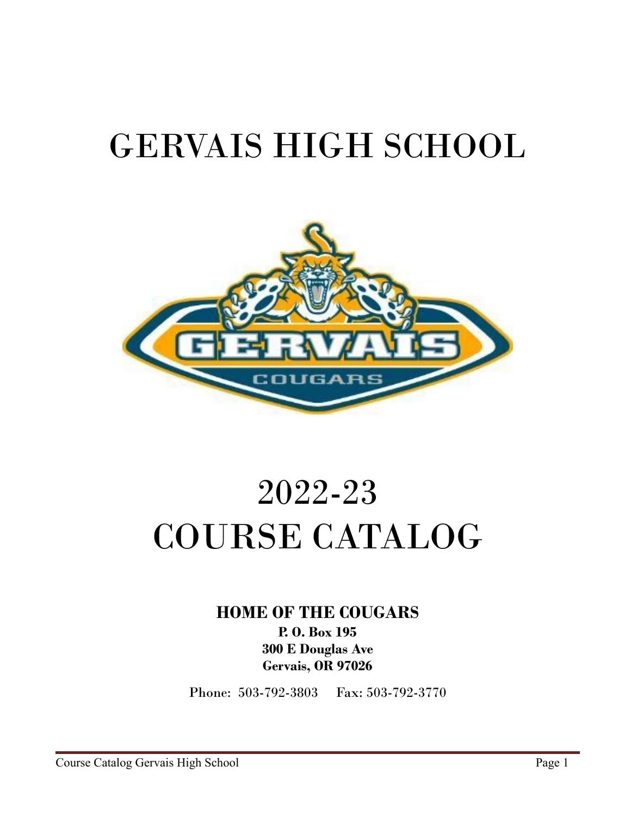# GERVAIS HIGH SCHOOL



# 2022-23 COURSE CATALOG

**HOME OF THE COUGARS**

**P. O. Box 195 300 E Douglas Ave Gervais, OR 97026**

Phone: 503-792-3803 Fax: 503-792-3770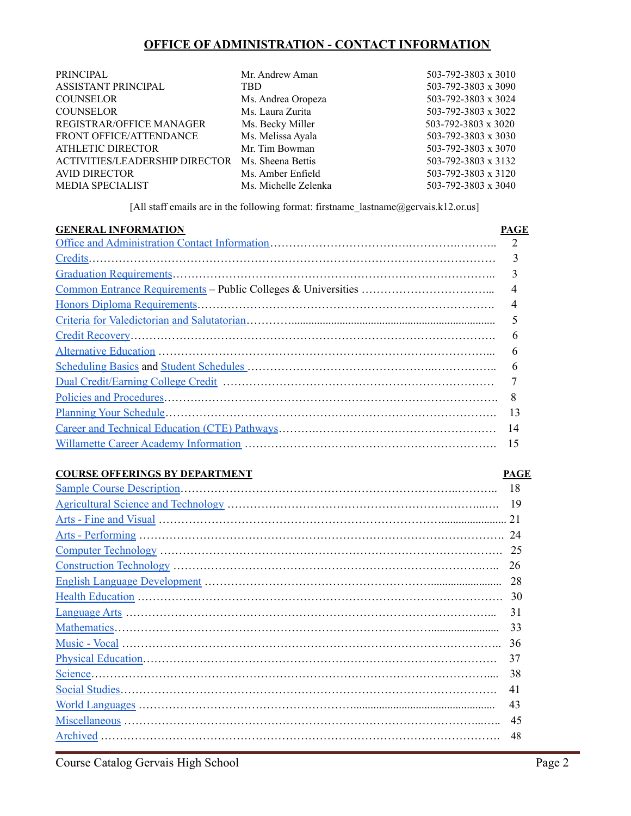## **OFFICE OF ADMINISTRATION - CONTACT INFORMATION**

<span id="page-1-0"></span>

| PRINCIPAL                             | Mr. Andrew Aman      | 503-792-3803 x 3010 |
|---------------------------------------|----------------------|---------------------|
| ASSISTANT PRINCIPAL                   | TBD.                 | 503-792-3803 x 3090 |
| <b>COUNSELOR</b>                      | Ms. Andrea Oropeza   | 503-792-3803 x 3024 |
| <b>COUNSELOR</b>                      | Ms. Laura Zurita     | 503-792-3803 x 3022 |
| REGISTRAR/OFFICE MANAGER              | Ms. Becky Miller     | 503-792-3803 x 3020 |
| FRONT OFFICE/ATTENDANCE               | Ms. Melissa Ayala    | 503-792-3803 x 3030 |
| ATHLETIC DIRECTOR                     | Mr. Tim Bowman       | 503-792-3803 x 3070 |
| <b>ACTIVITIES/LEADERSHIP DIRECTOR</b> | Ms. Sheena Bettis    | 503-792-3803 x 3132 |
| <b>AVID DIRECTOR</b>                  | Ms. Amber Enfield    | 503-792-3803 x 3120 |
| <b>MEDIA SPECIALIST</b>               | Ms. Michelle Zelenka | 503-792-3803 x 3040 |

[All staff emails are in the following format: firstname lastname@gervais.k12.or.us]

| <b>GENERAL INFORMATION</b> | PAGE |
|----------------------------|------|
|                            |      |
|                            |      |
|                            |      |
|                            |      |
|                            |      |
|                            |      |
|                            | 6    |
|                            | 6    |
|                            | 6    |
|                            |      |
|                            | 8    |
|                            | 13   |
|                            | 14   |
|                            | 15   |

### **COURSE OFFERINGS BY DEPARTMENT PAGE**

## Sample Course [Description…](#page-17-0)……………………………………………………………..……….. 18 [Agricultural](#page-18-0) Science and Technology …………………………………………………………...…. 19 Arts - Fine and [Visual](#page-20-0) …………………………………………………………………....................... 21 Arts - [Performing](#page-23-0) ……………………………………………………………………………………. 24 Computer [Technology](#page-24-0) ………………………………………………………………………………. 25 [Construction](#page-25-0) Technology ……………………………………………………………………….….. 26 English Language [Development](#page-27-0) ……………………………………………………......................... 28 Health [Education](#page-28-0) ……………………………………………………………………………………. 30 [Language](#page-30-0) Arts ……………………………………………………………………………………... 31 [Mathematics…](#page-32-0)………………………………………………………………………........................ 33 [Music](#page-35-0) - Vocal ……………………………………………………………………………………….. 36 Physical [Education…](#page-36-0)………………………………………………………………………………. 37 [Science](#page-37-0)…………………………………………………………………………………………….... 38 Social [Studies…](#page-40-0)……………………………………………………………………………………. 41 World [Languages](#page-42-0) ………………………………………………….................................................. 43 [Miscellaneous](#page-44-0) …………………………………………………………………………………...….. 45 [Archived](#page-47-0) ……………………………………………………………………………………………. 48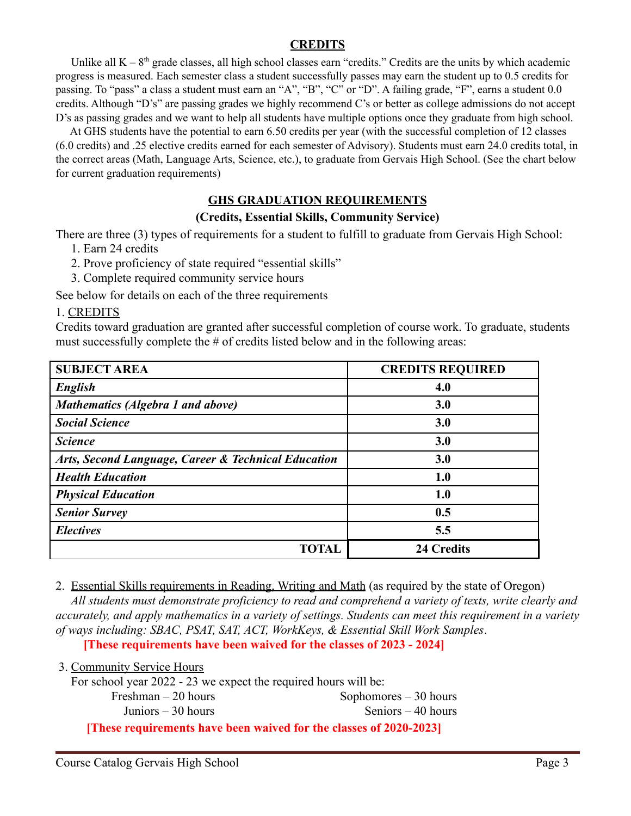## **CREDITS**

<span id="page-2-0"></span>Unlike all  $K - 8<sup>th</sup>$  grade classes, all high school classes earn "credits." Credits are the units by which academic progress is measured. Each semester class a student successfully passes may earn the student up to 0.5 credits for passing. To "pass" a class a student must earn an "A", "B", "C" or "D". A failing grade, "F", earns a student 0.0 credits. Although "D's" are passing grades we highly recommend C's or better as college admissions do not accept D's as passing grades and we want to help all students have multiple options once they graduate from high school.

At GHS students have the potential to earn 6.50 credits per year (with the successful completion of 12 classes (6.0 credits) and .25 elective credits earned for each semester of Advisory). Students must earn 24.0 credits total, in the correct areas (Math, Language Arts, Science, etc.), to graduate from Gervais High School. (See the chart below for current graduation requirements)

## **GHS GRADUATION REQUIREMENTS**

## **(Credits, Essential Skills, Community Service)**

<span id="page-2-1"></span>There are three (3) types of requirements for a student to fulfill to graduate from Gervais High School:

- 1. Earn 24 credits
- 2. Prove proficiency of state required "essential skills"
- 3. Complete required community service hours

See below for details on each of the three requirements

## 1. CREDITS

Credits toward graduation are granted after successful completion of course work. To graduate, students must successfully complete the # of credits listed below and in the following areas:

| <b>SUBJECT AREA</b>                                 | <b>CREDITS REQUIRED</b> |
|-----------------------------------------------------|-------------------------|
| English                                             | 4.0                     |
| Mathematics (Algebra 1 and above)                   | 3.0                     |
| <b>Social Science</b>                               | 3.0                     |
| <b>Science</b>                                      | 3.0                     |
| Arts, Second Language, Career & Technical Education | 3.0                     |
| <b>Health Education</b>                             | 1.0                     |
| <b>Physical Education</b>                           | 1.0                     |
| <b>Senior Survey</b>                                | 0.5                     |
| <b>Electives</b>                                    | 5.5                     |
| TOTAL                                               | <b>24 Credits</b>       |

2. Essential Skills requirements in Reading, Writing and Math (as required by the state of Oregon)

*All students must demonstrate proficiency to read and comprehend a variety of texts, write clearly and accurately, and apply mathematics in a variety of settings. Students can meet this requirement in a variety of ways including: SBAC, PSAT, SAT, ACT, WorkKeys, & Essential Skill Work Samples*.

**[These requirements have been waived for the classes of 2023 - 2024]**

| $\sigma$ . Community between to the $\sigma$                       |                        |
|--------------------------------------------------------------------|------------------------|
| For school year 2022 - 23 we expect the required hours will be:    |                        |
| Freshman $-20$ hours                                               | Sophomores $-30$ hours |
| Juniors $-30$ hours                                                | Seniors $-40$ hours    |
| [These requirements have been waived for the classes of 2020-2023] |                        |

3. Community Service Hours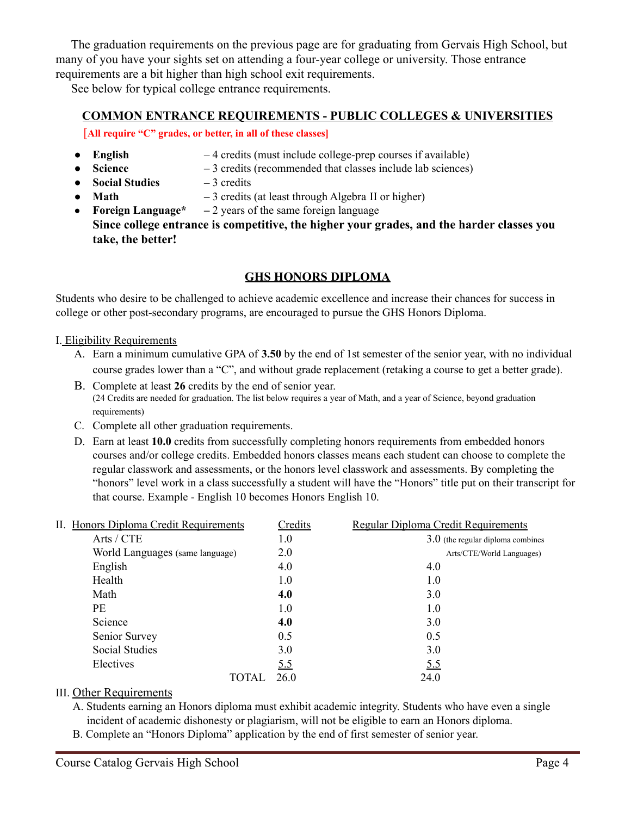The graduation requirements on the previous page are for graduating from Gervais High School, but many of you have your sights set on attending a four-year college or university. Those entrance requirements are a bit higher than high school exit requirements.

See below for typical college entrance requirements.

## <span id="page-3-0"></span>**COMMON ENTRANCE REQUIREMENTS - PUBLIC COLLEGES & UNIVERSITIES**

[**All require "C" grades, or better, in all of these classes]**

- **English** 4 credits (must include college-prep courses if available)
- **Science**  $-3$  credits (recommended that classes include lab sciences)
- **● Social Studies –** 3 credits
- **Math –** 3 credits (at least through Algebra II or higher)
- **Foreign Language\* –** 2 years of the same foreign language **Since college entrance is competitive, the higher your grades, and the harder classes you take, the better!**

## **GHS HONORS DIPLOMA**

<span id="page-3-1"></span>Students who desire to be challenged to achieve academic excellence and increase their chances for success in college or other post-secondary programs, are encouraged to pursue the GHS Honors Diploma.

## I. Eligibility Requirements

- A. Earn a minimum cumulative GPA of **3.50** by the end of 1st semester of the senior year, with no individual course grades lower than a "C", and without grade replacement (retaking a course to get a better grade).
- B. Complete at least **26** credits by the end of senior year. (24 Credits are needed for graduation. The list below requires a year of Math, and a year of Science, beyond graduation requirements)
- C. Complete all other graduation requirements.
- D. Earn at least **10.0** credits from successfully completing honors requirements from embedded honors courses and/or college credits. Embedded honors classes means each student can choose to complete the regular classwork and assessments, or the honors level classwork and assessments. By completing the "honors" level work in a class successfully a student will have the "Honors" title put on their transcript for that course. Example - English 10 becomes Honors English 10.

| II. Honors Diploma Credit Requirements | Credits    | <b>Regular Diploma Credit Requirements</b> |
|----------------------------------------|------------|--------------------------------------------|
| Arts / CTE                             | 1.0        | $3.0$ (the regular diploma combines        |
| World Languages (same language)        | 2.0        | Arts/CTE/World Languages)                  |
| English                                | 4.0        | 4.0                                        |
| Health                                 | 1.0        | 1.0                                        |
| Math                                   | 4.0        | 3.0                                        |
| <b>PE</b>                              | 1.0        | 1.0                                        |
| Science                                | 4.0        | 3.0                                        |
| Senior Survey                          | 0.5        | 0.5                                        |
| <b>Social Studies</b>                  | 3.0        | 3.0                                        |
| Electives                              | <u>5.5</u> | <u>5.5</u>                                 |
| <b>TOTAL</b>                           | 26.0       | 24.0                                       |

## III. Other Requirements

- A. Students earning an Honors diploma must exhibit academic integrity. Students who have even a single incident of academic dishonesty or plagiarism, will not be eligible to earn an Honors diploma.
- B. Complete an "Honors Diploma" application by the end of first semester of senior year.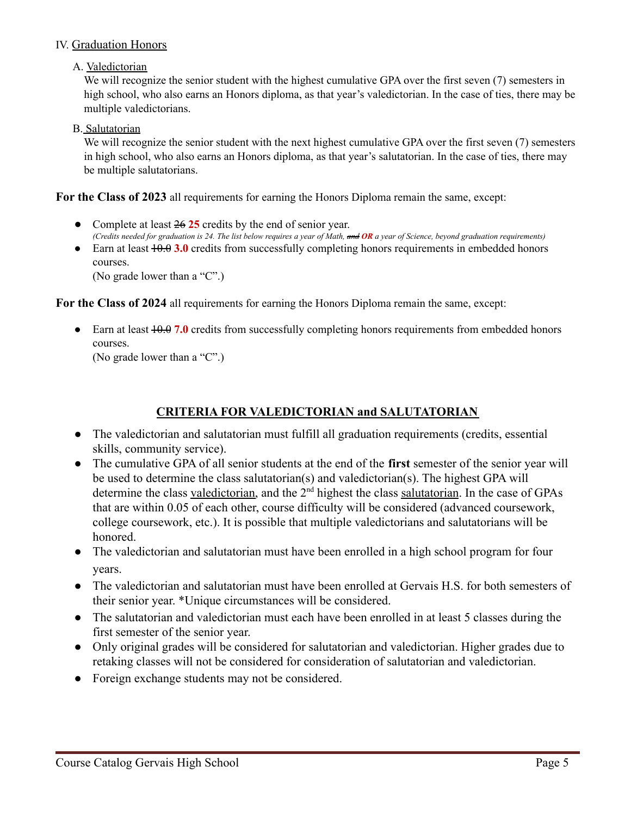## IV. Graduation Honors

## A. Valedictorian

We will recognize the senior student with the highest cumulative GPA over the first seven (7) semesters in high school, who also earns an Honors diploma, as that year's valedictorian. In the case of ties, there may be multiple valedictorians.

## B. Salutatorian

We will recognize the senior student with the next highest cumulative GPA over the first seven (7) semesters in high school, who also earns an Honors diploma, as that year's salutatorian. In the case of ties, there may be multiple salutatorians.

**For the Class of 2023** all requirements for earning the Honors Diploma remain the same, except:

- Complete at least  $26\overline{25}$  credits by the end of senior year. (Credits needed for graduation is 24. The list below requires a year of Math,  $\theta$ R a year of Science, beyond graduation requirements)
- Earn at least  $\overline{10.0}$  a.0 credits from successfully completing honors requirements in embedded honors courses.

(No grade lower than a "C".)

**For the Class of 2024** all requirements for earning the Honors Diploma remain the same, except:

• Earn at least  $\overline{10.0}$  are equirements from successfully completing honors requirements from embedded honors courses.

(No grade lower than a "C".)

## **CRITERIA FOR VALEDICTORIAN and SALUTATORIAN**

- <span id="page-4-0"></span>• The valedictorian and salutatorian must fulfill all graduation requirements (credits, essential skills, community service).
- The cumulative GPA of all senior students at the end of the **first** semester of the senior year will be used to determine the class salutatorian(s) and valedictorian(s). The highest GPA will determine the class valedictorian, and the 2<sup>nd</sup> highest the class salutatorian. In the case of GPAs that are within 0.05 of each other, course difficulty will be considered (advanced coursework, college coursework, etc.). It is possible that multiple valedictorians and salutatorians will be honored.
- The valedictorian and salutatorian must have been enrolled in a high school program for four years.
- The valedictorian and salutatorian must have been enrolled at Gervais H.S. for both semesters of their senior year. \*Unique circumstances will be considered.
- The salutatorian and valedictorian must each have been enrolled in at least 5 classes during the first semester of the senior year.
- Only original grades will be considered for salutatorian and valedictorian. Higher grades due to retaking classes will not be considered for consideration of salutatorian and valedictorian.
- Foreign exchange students may not be considered.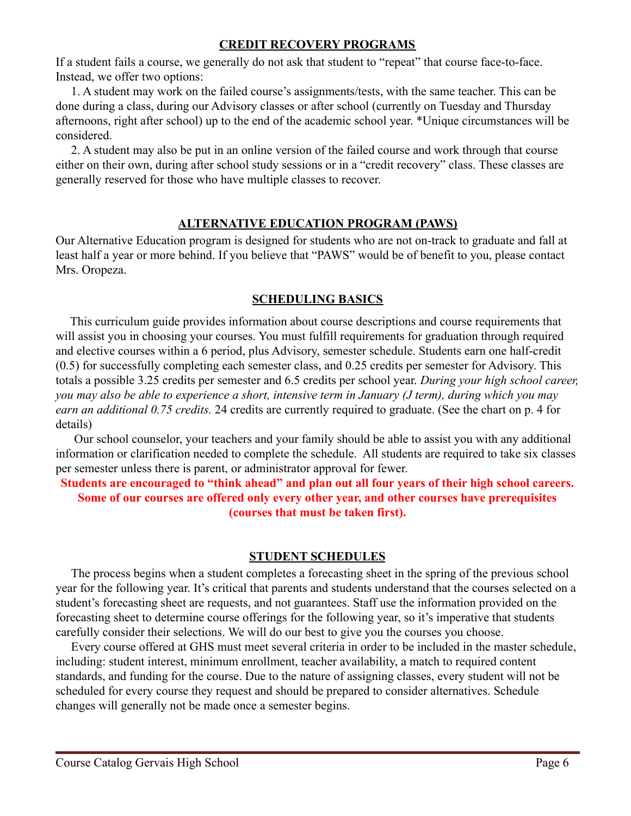## **CREDIT RECOVERY PROGRAMS**

<span id="page-5-0"></span>If a student fails a course, we generally do not ask that student to "repeat" that course face-to-face. Instead, we offer two options:

1. A student may work on the failed course's assignments/tests, with the same teacher. This can be done during a class, during our Advisory classes or after school (currently on Tuesday and Thursday afternoons, right after school) up to the end of the academic school year. \*Unique circumstances will be considered.

2. A student may also be put in an online version of the failed course and work through that course either on their own, during after school study sessions or in a "credit recovery" class. These classes are generally reserved for those who have multiple classes to recover.

## **ALTERNATIVE EDUCATION PROGRAM (PAWS)**

<span id="page-5-1"></span>Our Alternative Education program is designed for students who are not on-track to graduate and fall at least half a year or more behind. If you believe that "PAWS" would be of benefit to you, please contact Mrs. Oropeza.

## **SCHEDULING BASICS**

<span id="page-5-2"></span>This curriculum guide provides information about course descriptions and course requirements that will assist you in choosing your courses. You must fulfill requirements for graduation through required and elective courses within a 6 period, plus Advisory, semester schedule. Students earn one half-credit (0.5) for successfully completing each semester class, and 0.25 credits per semester for Advisory. This totals a possible 3.25 credits per semester and 6.5 credits per school year. *During your high school career, you may also be able to experience a short, intensive term in January (J term), during which you may earn an additional 0.75 credits.* 24 credits are currently required to graduate. (See the chart on p. 4 for details)

Our school counselor, your teachers and your family should be able to assist you with any additional information or clarification needed to complete the schedule. All students are required to take six classes per semester unless there is parent, or administrator approval for fewer.

**Students are encouraged to "think ahead" and plan out all four years of their high school careers. Some of our courses are offered only every other year, and other courses have prerequisites (courses that must be taken first).**

## **STUDENT SCHEDULES**

<span id="page-5-3"></span>The process begins when a student completes a forecasting sheet in the spring of the previous school year for the following year. It's critical that parents and students understand that the courses selected on a student's forecasting sheet are requests, and not guarantees. Staff use the information provided on the forecasting sheet to determine course offerings for the following year, so it's imperative that students carefully consider their selections. We will do our best to give you the courses you choose.

Every course offered at GHS must meet several criteria in order to be included in the master schedule, including: student interest, minimum enrollment, teacher availability, a match to required content standards, and funding for the course. Due to the nature of assigning classes, every student will not be scheduled for every course they request and should be prepared to consider alternatives. Schedule changes will generally not be made once a semester begins.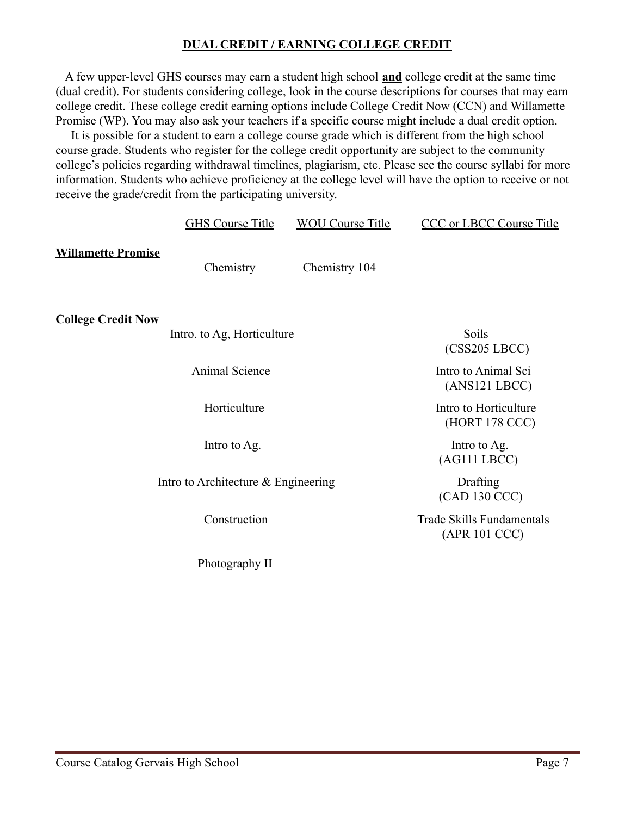## **DUAL CREDIT / EARNING COLLEGE CREDIT**

<span id="page-6-0"></span>A few upper-level GHS courses may earn a student high school **and** college credit at the same time (dual credit). For students considering college, look in the course descriptions for courses that may earn college credit. These college credit earning options include College Credit Now (CCN) and Willamette Promise (WP). You may also ask your teachers if a specific course might include a dual credit option.

It is possible for a student to earn a college course grade which is different from the high school course grade. Students who register for the college credit opportunity are subject to the community college's policies regarding withdrawal timelines, plagiarism, etc. Please see the course syllabi for more information. Students who achieve proficiency at the college level will have the option to receive or not receive the grade/credit from the participating university.

|                           | <b>GHS Course Title</b>               | <b>WOU Course Title</b> | <b>CCC</b> or LBCC Course Title            |
|---------------------------|---------------------------------------|-------------------------|--------------------------------------------|
| <b>Willamette Promise</b> | Chemistry                             | Chemistry 104           |                                            |
| <b>College Credit Now</b> | Intro. to Ag, Horticulture            |                         | Soils<br>(CSS205 LBCC)                     |
|                           | Animal Science                        |                         | Intro to Animal Sci<br>(ANS121 LBCC)       |
|                           | Horticulture                          |                         | Intro to Horticulture<br>(HORT 178 CCC)    |
|                           | Intro to Ag.                          |                         | Intro to Ag.<br>(AG111 LBCC)               |
|                           | Intro to Architecture $&$ Engineering |                         | Drafting<br>(CAD 130 CCC)                  |
|                           | Construction                          |                         | Trade Skills Fundamentals<br>(APR 101 CCC) |
|                           | Photography II                        |                         |                                            |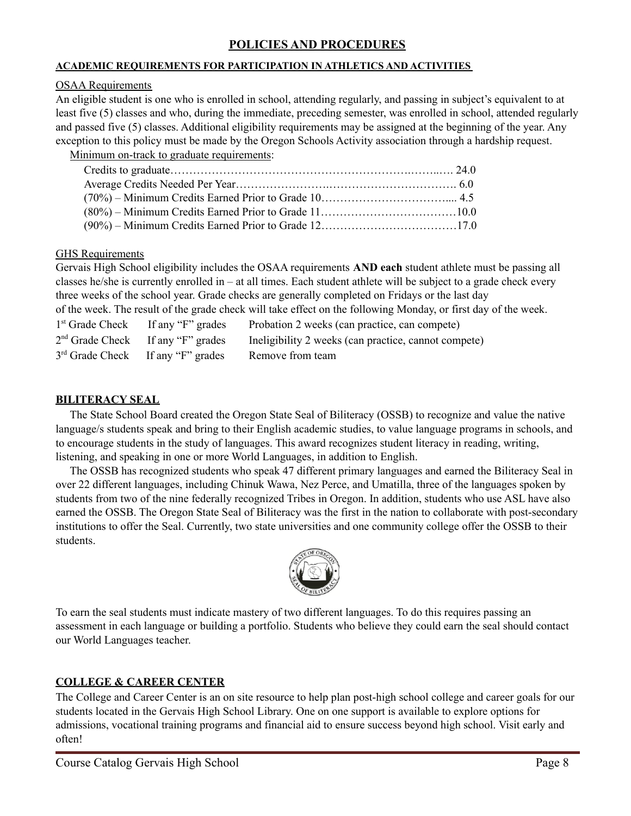## **POLICIES AND PROCEDURES**

### <span id="page-7-0"></span>**ACADEMIC REQUIREMENTS FOR PARTICIPATION IN ATHLETICS AND ACTIVITIES**

### OSAA Requirements

An eligible student is one who is enrolled in school, attending regularly, and passing in subject's equivalent to at least five (5) classes and who, during the immediate, preceding semester, was enrolled in school, attended regularly and passed five (5) classes. Additional eligibility requirements may be assigned at the beginning of the year. Any exception to this policy must be made by the Oregon Schools Activity association through a hardship request.

Minimum on-track to graduate requirements:

GHS Requirements

Gervais High School eligibility includes the OSAA requirements **AND each** student athlete must be passing all classes he/she is currently enrolled in – at all times. Each student athlete will be subject to a grade check every three weeks of the school year. Grade checks are generally completed on Fridays or the last day of the week. The result of the grade check will take effect on the following Monday, or first day of the week.

| $1st$ Grade Check If any "F" grades           | Probation 2 weeks (can practice, can compete)        |
|-----------------------------------------------|------------------------------------------------------|
| $2nd$ Grade Check If any "F" grades           | Ineligibility 2 weeks (can practice, cannot compete) |
| 3 <sup>rd</sup> Grade Check If any "F" grades | Remove from team                                     |

## **BILITERACY SEAL**

The State School Board created the Oregon State Seal of Biliteracy (OSSB) to recognize and value the native language/s students speak and bring to their English academic studies, to value language programs in schools, and to encourage students in the study of languages. This award recognizes student literacy in reading, writing, listening, and speaking in one or more World Languages, in addition to English.

The OSSB has recognized students who speak 47 different primary languages and earned the Biliteracy Seal in over 22 different languages, including Chinuk Wawa, Nez Perce, and Umatilla, three of the languages spoken by students from two of the nine federally recognized Tribes in Oregon. In addition, students who use ASL have also earned the OSSB. The Oregon State Seal of Biliteracy was the first in the nation to collaborate with post-secondary institutions to offer the Seal. Currently, two state universities and one community college offer the OSSB to their students.



To earn the seal students must indicate mastery of two different languages. To do this requires passing an assessment in each language or building a portfolio. Students who believe they could earn the seal should contact our World Languages teacher.

## **COLLEGE & CAREER CENTER**

The College and Career Center is an on site resource to help plan post-high school college and career goals for our students located in the Gervais High School Library. One on one support is available to explore options for admissions, vocational training programs and financial aid to ensure success beyond high school. Visit early and often!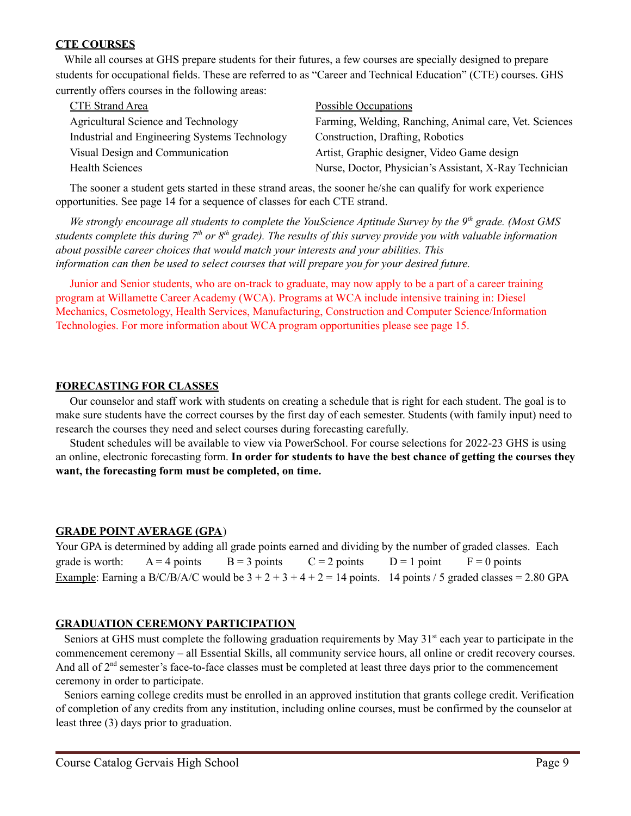## **CTE COURSES**

While all courses at GHS prepare students for their futures, a few courses are specially designed to prepare students for occupational fields. These are referred to as "Career and Technical Education" (CTE) courses. GHS currently offers courses in the following areas:

| <b>CTE Strand Area</b>                        | <b>Possible Occupations</b>                            |
|-----------------------------------------------|--------------------------------------------------------|
| Agricultural Science and Technology           | Farming, Welding, Ranching, Animal care, Vet. Sciences |
| Industrial and Engineering Systems Technology | Construction, Drafting, Robotics                       |
| Visual Design and Communication               | Artist, Graphic designer, Video Game design            |
| <b>Health Sciences</b>                        | Nurse, Doctor, Physician's Assistant, X-Ray Technician |

The sooner a student gets started in these strand areas, the sooner he/she can qualify for work experience opportunities. See page 14 for a sequence of classes for each CTE strand.

We strongly encourage all students to complete the YouScience Aptitude Survey by the  $9<sup>th</sup>$  grade. (Most GMS students complete this during 7<sup>th</sup> or 8<sup>th</sup> grade). The results of this survey provide you with valuable information *about possible career choices that would match your interests and your abilities. This information can then be used to select courses that will prepare you for your desired future.*

Junior and Senior students, who are on-track to graduate, may now apply to be a part of a career training program at Willamette Career Academy (WCA). Programs at WCA include intensive training in: Diesel Mechanics, Cosmetology, Health Services, Manufacturing, Construction and Computer Science/Information Technologies. For more information about WCA program opportunities please see page 15.

### **FORECASTING FOR CLASSES**

Our counselor and staff work with students on creating a schedule that is right for each student. The goal is to make sure students have the correct courses by the first day of each semester. Students (with family input) need to research the courses they need and select courses during forecasting carefully.

Student schedules will be available to view via PowerSchool. For course selections for 2022-23 GHS is using an online, electronic forecasting form. **In order for students to have the best chance of getting the courses they want, the forecasting form must be completed, on time.**

### **GRADE POINT AVERAGE (GPA**)

Your GPA is determined by adding all grade points earned and dividing by the number of graded classes. Each grade is worth:  $A = 4$  points  $B = 3$  points  $C = 2$  points  $D = 1$  point  $F = 0$  points Example: Earning a B/C/B/A/C would be  $3 + 2 + 3 + 4 + 2 = 14$  points. 14 points / 5 graded classes = 2.80 GPA

## **GRADUATION CEREMONY PARTICIPATION**

Seniors at GHS must complete the following graduation requirements by May 31<sup>st</sup> each year to participate in the commencement ceremony – all Essential Skills, all community service hours, all online or credit recovery courses. And all of 2<sup>nd</sup> semester's face-to-face classes must be completed at least three days prior to the commencement ceremony in order to participate.

Seniors earning college credits must be enrolled in an approved institution that grants college credit. Verification of completion of any credits from any institution, including online courses, must be confirmed by the counselor at least three (3) days prior to graduation.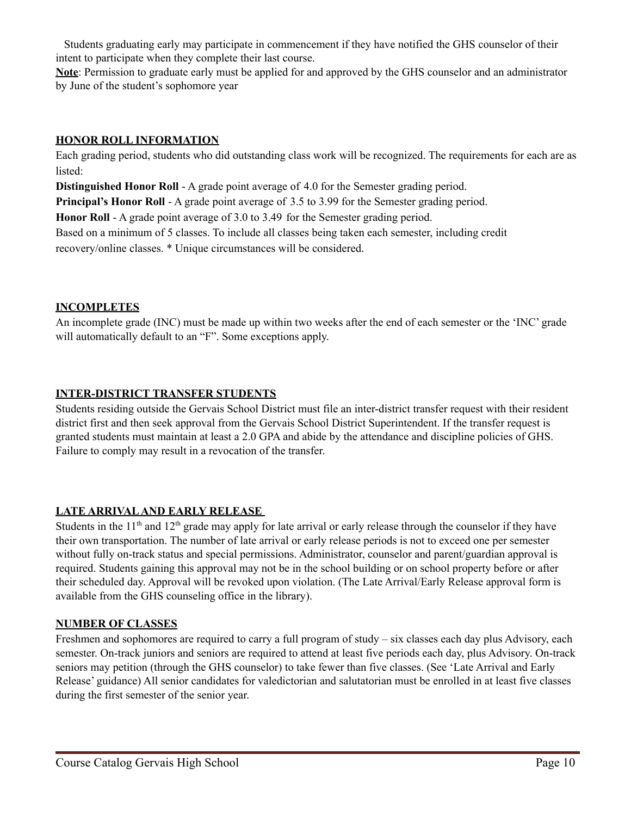Students graduating early may participate in commencement if they have notified the GHS counselor of their intent to participate when they complete their last course.

**Note**: Permission to graduate early must be applied for and approved by the GHS counselor and an administrator by June of the student's sophomore year

## **HONOR ROLL INFORMATION**

Each grading period, students who did outstanding class work will be recognized. The requirements for each are as listed:

**Distinguished Honor Roll** - A grade point average of 4.0 for the Semester grading period.

**Principal's Honor Roll** - A grade point average of 3.5 to 3.99 for the Semester grading period.

**Honor Roll** - A grade point average of 3.0 to 3.49 for the Semester grading period.

Based on a minimum of 5 classes. To include all classes being taken each semester, including credit

recovery/online classes. \* Unique circumstances will be considered.

## **INCOMPLETES**

An incomplete grade (INC) must be made up within two weeks after the end of each semester or the 'INC' grade will automatically default to an "F". Some exceptions apply.

## **INTER-DISTRICT TRANSFER STUDENTS**

Students residing outside the Gervais School District must file an inter-district transfer request with their resident district first and then seek approval from the Gervais School District Superintendent. If the transfer request is granted students must maintain at least a 2.0 GPA and abide by the attendance and discipline policies of GHS. Failure to comply may result in a revocation of the transfer.

## **LATE ARRIVALAND EARLY RELEASE**

Students in the  $11<sup>th</sup>$  and  $12<sup>th</sup>$  grade may apply for late arrival or early release through the counselor if they have their own transportation. The number of late arrival or early release periods is not to exceed one per semester without fully on-track status and special permissions. Administrator, counselor and parent/guardian approval is required. Students gaining this approval may not be in the school building or on school property before or after their scheduled day. Approval will be revoked upon violation. (The Late Arrival/Early Release approval form is available from the GHS counseling office in the library).

## **NUMBER OF CLASSES**

Freshmen and sophomores are required to carry a full program of study – six classes each day plus Advisory, each semester. On-track juniors and seniors are required to attend at least five periods each day, plus Advisory. On-track seniors may petition (through the GHS counselor) to take fewer than five classes. (See 'Late Arrival and Early Release' guidance) All senior candidates for valedictorian and salutatorian must be enrolled in at least five classes during the first semester of the senior year.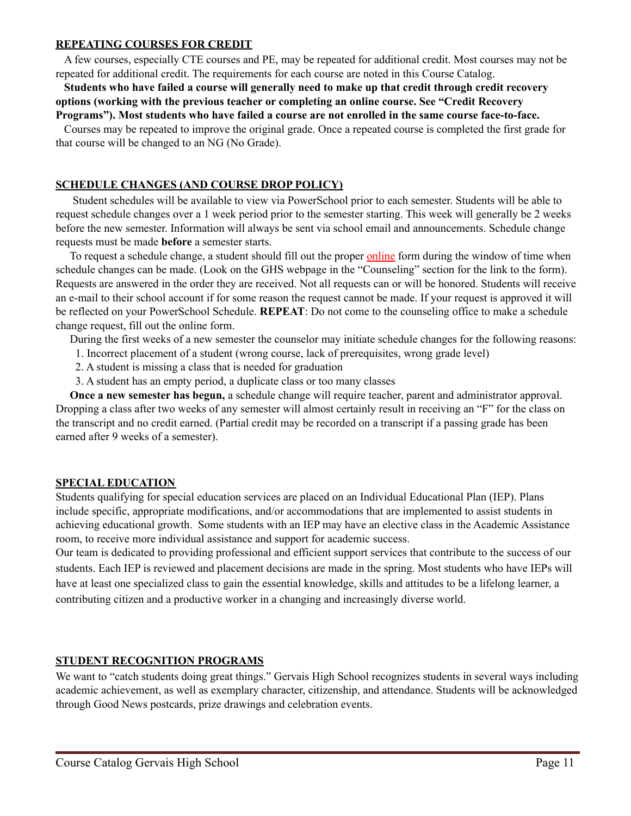### **REPEATING COURSES FOR CREDIT**

A few courses, especially CTE courses and PE, may be repeated for additional credit. Most courses may not be repeated for additional credit. The requirements for each course are noted in this Course Catalog.

## **Students who have failed a course will generally need to make up that credit through credit recovery options (working with the previous teacher or completing an online course. See "Credit Recovery**

**Programs"). Most students who have failed a course are not enrolled in the same course face-to-face.** Courses may be repeated to improve the original grade. Once a repeated course is completed the first grade for that course will be changed to an NG (No Grade).

### **SCHEDULE CHANGES (AND COURSE DROP POLICY)**

Student schedules will be available to view via PowerSchool prior to each semester. Students will be able to request schedule changes over a 1 week period prior to the semester starting. This week will generally be 2 weeks before the new semester. Information will always be sent via school email and announcements. Schedule change requests must be made **before** a semester starts.

To request a schedule change, a student should fill out the proper online form during the window of time when schedule changes can be made. (Look on the GHS webpage in the "Counseling" section for the link to the form). Requests are answered in the order they are received. Not all requests can or will be honored. Students will receive an e-mail to their school account if for some reason the request cannot be made. If your request is approved it will be reflected on your PowerSchool Schedule. **REPEAT**: Do not come to the counseling office to make a schedule change request, fill out the online form.

During the first weeks of a new semester the counselor may initiate schedule changes for the following reasons:

- 1. Incorrect placement of a student (wrong course, lack of prerequisites, wrong grade level)
- 2. A student is missing a class that is needed for graduation
- 3. A student has an empty period, a duplicate class or too many classes

**Once a new semester has begun,** a schedule change will require teacher, parent and administrator approval. Dropping a class after two weeks of any semester will almost certainly result in receiving an "F" for the class on the transcript and no credit earned. (Partial credit may be recorded on a transcript if a passing grade has been earned after 9 weeks of a semester).

### **SPECIAL EDUCATION**

Students qualifying for special education services are placed on an Individual Educational Plan (IEP). Plans include specific, appropriate modifications, and/or accommodations that are implemented to assist students in achieving educational growth. Some students with an IEP may have an elective class in the Academic Assistance room, to receive more individual assistance and support for academic success.

Our team is dedicated to providing professional and efficient support services that contribute to the success of our students. Each IEP is reviewed and placement decisions are made in the spring. Most students who have IEPs will have at least one specialized class to gain the essential knowledge, skills and attitudes to be a lifelong learner, a contributing citizen and a productive worker in a changing and increasingly diverse world.

## **STUDENT RECOGNITION PROGRAMS**

We want to "catch students doing great things." Gervais High School recognizes students in several ways including academic achievement, as well as exemplary character, citizenship, and attendance. Students will be acknowledged through Good News postcards, prize drawings and celebration events.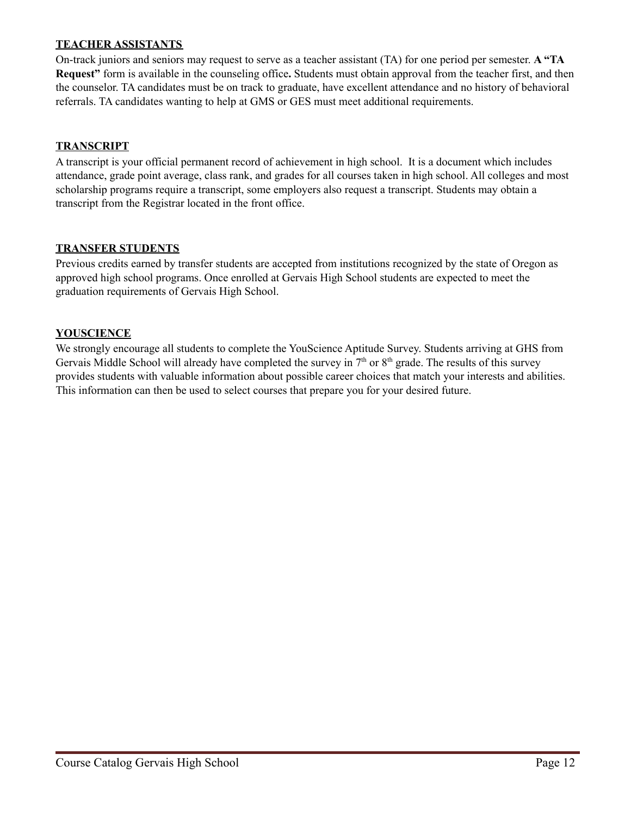## **TEACHER ASSISTANTS**

On-track juniors and seniors may request to serve as a teacher assistant (TA) for one period per semester. **A "TA Request"** form is available in the counseling office**.** Students must obtain approval from the teacher first, and then the counselor. TA candidates must be on track to graduate, have excellent attendance and no history of behavioral referrals. TA candidates wanting to help at GMS or GES must meet additional requirements.

### **TRANSCRIPT**

A transcript is your official permanent record of achievement in high school. It is a document which includes attendance, grade point average, class rank, and grades for all courses taken in high school. All colleges and most scholarship programs require a transcript, some employers also request a transcript. Students may obtain a transcript from the Registrar located in the front office.

### **TRANSFER STUDENTS**

Previous credits earned by transfer students are accepted from institutions recognized by the state of Oregon as approved high school programs. Once enrolled at Gervais High School students are expected to meet the graduation requirements of Gervais High School.

### **YOUSCIENCE**

We strongly encourage all students to complete the YouScience Aptitude Survey. Students arriving at GHS from Gervais Middle School will already have completed the survey in  $7<sup>th</sup>$  or  $8<sup>th</sup>$  grade. The results of this survey provides students with valuable information about possible career choices that match your interests and abilities. This information can then be used to select courses that prepare you for your desired future.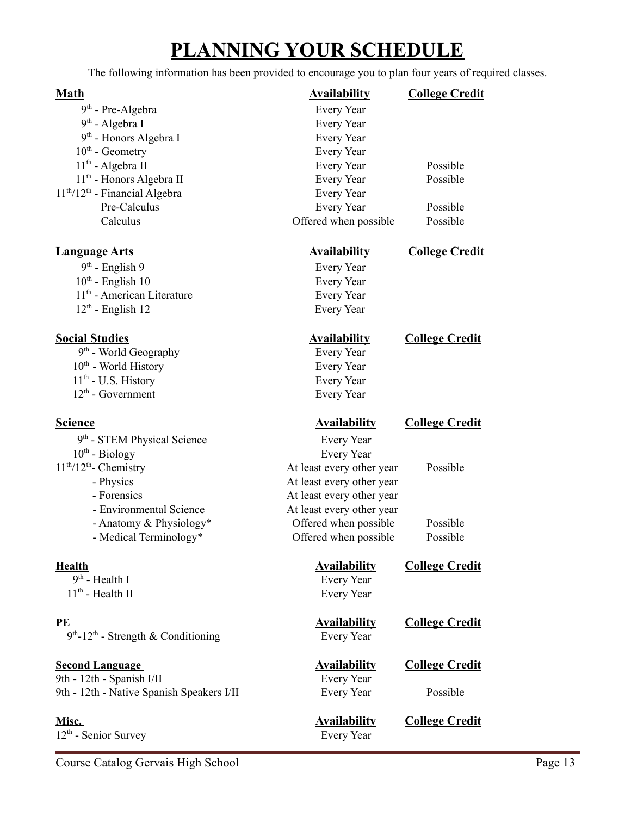## **PLANNING YOUR SCHEDULE**

<span id="page-12-0"></span>The following information has been provided to encourage you to plan four years of required classes.

| 9 <sup>th</sup> - Pre-Algebra        |
|--------------------------------------|
| 9 <sup>th</sup> - Algebra I          |
| 9 <sup>th</sup> - Honors Algebra I   |
| $10th$ - Geometry                    |
| 11 <sup>th</sup> - Algebra II        |
| 11 <sup>th</sup> - Honors Algebra II |
| $11th/12th$ - Financial Algebra      |
| Pre-Calculus                         |
| Calculus                             |
|                                      |

## **Language Arts Availability College Credit**

 $9<sup>th</sup>$ 10<sup>th</sup> - English 10 Every Year 11<sup>th</sup> - American Literature Every Year 12<sup>th</sup> - English 12 Every Year

| $9th$ - World Geography          |
|----------------------------------|
| 10 <sup>th</sup> - World History |
| $11th$ - U.S. History            |
| $12th$ - Government              |
|                                  |

9<sup>th</sup> - STEM Physical Science Every Year  $10^{\text{th}}$  $11^{th}/12^{th}$ - Physics At least every other year - Forensics At least every other year - Environmental Science At least every other year - Anatomy & Physiology\* Offered when possible Possible - Medical Terminology\* Offered when possible Possible

 $9<sup>th</sup>$  $11<sup>th</sup>$ 

**PE Availability College Credit** 9<sup>th</sup>-12<sup>th</sup> - Strength & Conditioning Every Year

## **Second Language Availability College Credit**

9th - 12th - Spanish I/II Every Year 9th - 12th - Native Spanish Speakers I/II Every Year Possible

12<sup>th</sup> - Senior Survey **Every Year** 

Every Year Every Year Every Year Every Year Every Year Possible Every Year Possible Every Year Every Year Possible Offered when possible Possible

## **Math Availability College Credit**

Every Year

**Social Studies Availability College Credit**

Every Year Every Year Every Year Every Year

## **Science Availability College Credit**

Every Year At least every other year Possible

**Health Availability College Credit**

Every Year Every Year

**Misc. Availability College Credit**

Course Catalog Gervais High School Page 13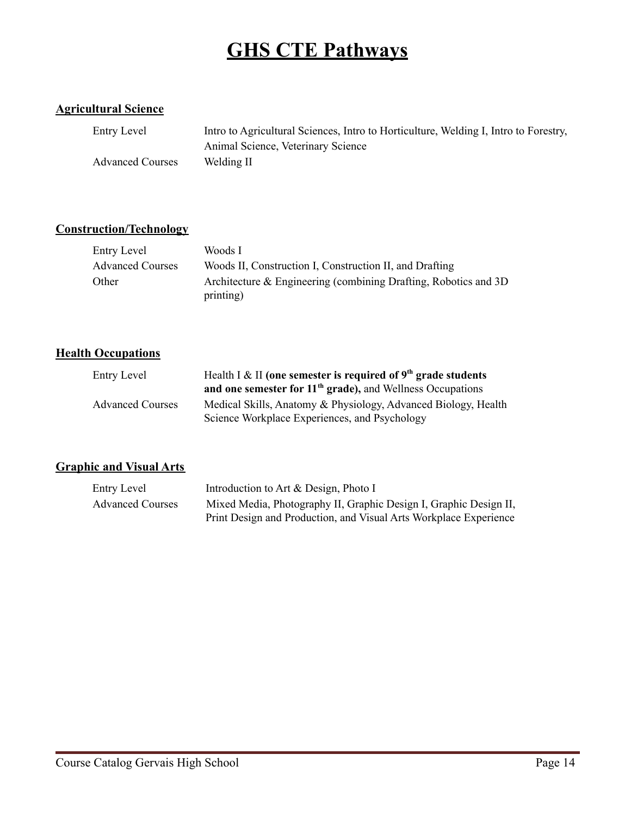## **GHS CTE Pathways**

## <span id="page-13-0"></span>**Agricultural Science**

| Entry Level             | Intro to Agricultural Sciences, Intro to Horticulture, Welding I, Intro to Forestry, |
|-------------------------|--------------------------------------------------------------------------------------|
|                         | Animal Science, Veterinary Science                                                   |
| <b>Advanced Courses</b> | Welding II                                                                           |

## **Construction/Technology**

| Entry Level             | Woods I                                                                       |
|-------------------------|-------------------------------------------------------------------------------|
| <b>Advanced Courses</b> | Woods II, Construction I, Construction II, and Drafting                       |
| Other                   | Architecture & Engineering (combining Drafting, Robotics and 3D)<br>printing) |

## **Health Occupations**

| Entry Level             | Health I & II (one semester is required of $9th$ grade students |
|-------------------------|-----------------------------------------------------------------|
|                         | and one semester for $11th$ grade), and Wellness Occupations    |
| <b>Advanced Courses</b> | Medical Skills, Anatomy & Physiology, Advanced Biology, Health  |
|                         | Science Workplace Experiences, and Psychology                   |

## **Graphic and Visual Arts**

| Entry Level             | Introduction to Art & Design, Photo I                             |
|-------------------------|-------------------------------------------------------------------|
| <b>Advanced Courses</b> | Mixed Media, Photography II, Graphic Design I, Graphic Design II, |
|                         | Print Design and Production, and Visual Arts Workplace Experience |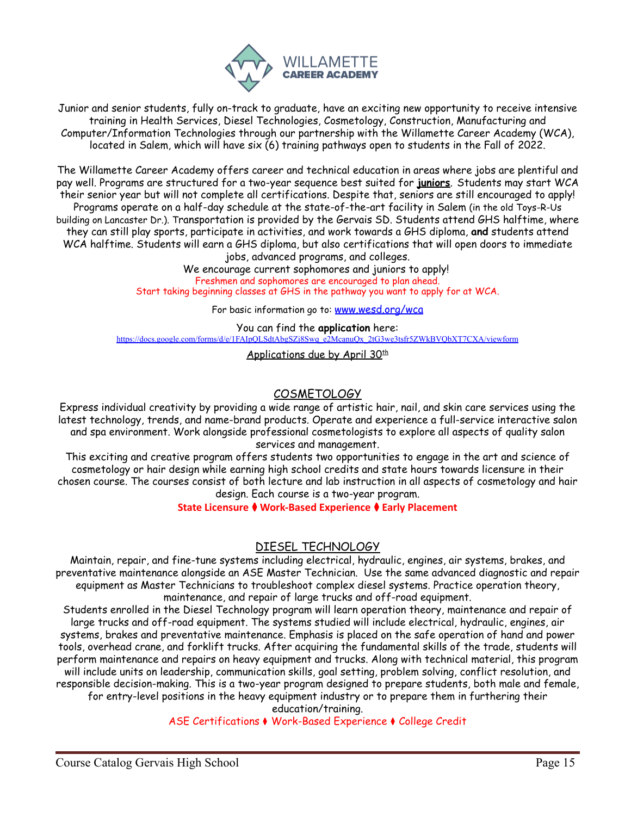

Junior and senior students, fully on-track to graduate, have an exciting new opportunity to receive intensive training in Health Services, Diesel Technologies, Cosmetology, Construction, Manufacturing and Computer/Information Technologies through our partnership with the Willamette Career Academy (WCA), located in Salem, which will have six (6) training pathways open to students in the Fall of 2022.

<span id="page-14-0"></span>The Willamette Career Academy offers career and technical education in areas where jobs are plentiful and pay well. Programs are structured for a two-year sequence best suited for **juniors**. Students may start WCA their senior year but will not complete all certifications. Despite that, seniors are still encouraged to apply! Programs operate on a half-day schedule at the state-of-the-art facility in Salem (in the old Toys-R-Us building on Lancaster Dr.). Transportation is provided by the Gervais SD. Students attend GHS halftime, where they can still play sports, participate in activities, and work towards a GHS diploma, **and** students attend WCA halftime. Students will earn a GHS diploma, but also certifications that will open doors to immediate jobs, advanced programs, and colleges.

We encourage current sophomores and juniors to apply! Freshmen and sophomores are encouraged to plan ahead. Start taking beginning classes at GHS in the pathway you want to apply for at WCA.

For basic information go to: [www.wesd.org/wca](http://www.wesd.org/wca)

You can find the **application** here: [https://docs.google.com/forms/d/e/1FAIpQLSdtAbgSZj8Swq\\_e2McanuQx\\_2tG3we3tsfr5ZWkBVQbXT7CXA/viewform](https://docs.google.com/forms/d/e/1FAIpQLSdtAbgSZj8Swq_e2McanuQx_2tG3we3tsfr5ZWkBVQbXT7CXA/viewform)

Applications due by April 30<sup>th</sup>

## COSMETOLOGY

Express individual creativity by providing a wide range of artistic hair, nail, and skin care services using the latest technology, trends, and name-brand products. Operate and experience a full-service interactive salon and spa environment. Work alongside professional cosmetologists to explore all aspects of quality salon services and management.

This exciting and creative program offers students two opportunities to engage in the art and science of cosmetology or hair design while earning high school credits and state hours towards licensure in their chosen course. The courses consist of both lecture and lab instruction in all aspects of cosmetology and hair design. Each course is a two-year program.

**State Licensure** ⧫ **Work-Based Experience** ⧫ **Early Placement**

## DIESEL TECHNOLOGY

Maintain, repair, and fine-tune systems including electrical, hydraulic, engines, air systems, brakes, and preventative maintenance alongside an ASE Master Technician. Use the same advanced diagnostic and repair equipment as Master Technicians to troubleshoot complex diesel systems. Practice operation theory, maintenance, and repair of large trucks and off-road equipment.

Students enrolled in the Diesel Technology program will learn operation theory, maintenance and repair of large trucks and off-road equipment. The systems studied will include electrical, hydraulic, engines, air systems, brakes and preventative maintenance. Emphasis is placed on the safe operation of hand and power tools, overhead crane, and forklift trucks. After acquiring the fundamental skills of the trade, students will perform maintenance and repairs on heavy equipment and trucks. Along with technical material, this program will include units on leadership, communication skills, goal setting, problem solving, conflict resolution, and responsible decision-making. This is a two-year program designed to prepare students, both male and female, for entry-level positions in the heavy equipment industry or to prepare them in furthering their

education/training.

ASE Certifications ⧫ Work-Based Experience ⧫ College Credit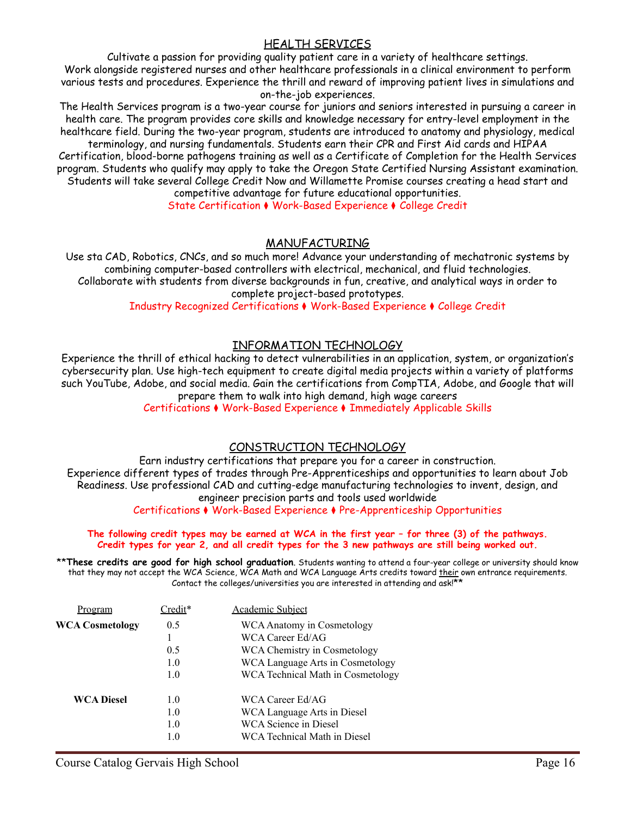## HEALTH SERVICES

Cultivate a passion for providing quality patient care in a variety of healthcare settings. Work alongside registered nurses and other healthcare professionals in a clinical environment to perform various tests and procedures. Experience the thrill and reward of improving patient lives in simulations and on-the-job experiences.

The Health Services program is a two-year course for juniors and seniors interested in pursuing a career in health care. The program provides core skills and knowledge necessary for entry-level employment in the healthcare field. During the two-year program, students are introduced to anatomy and physiology, medical

terminology, and nursing fundamentals. Students earn their CPR and First Aid cards and HIPAA Certification, blood-borne pathogens training as well as a Certificate of Completion for the Health Services program. Students who qualify may apply to take the Oregon State Certified Nursing Assistant examination. Students will take several College Credit Now and Willamette Promise courses creating a head start and competitive advantage for future educational opportunities.

State Certification ⧫ Work-Based Experience ⧫ College Credit

### MANUFACTURING

Use sta CAD, Robotics, CNCs, and so much more! Advance your understanding of mechatronic systems by combining computer-based controllers with electrical, mechanical, and fluid technologies. Collaborate with students from diverse backgrounds in fun, creative, and analytical ways in order to complete project-based prototypes.

Industry Recognized Certifications ⧫ Work-Based Experience ⧫ College Credit

## INFORMATION TECHNOLOGY

Experience the thrill of ethical hacking to detect vulnerabilities in an application, system, or organization's cybersecurity plan. Use high-tech equipment to create digital media projects within a variety of platforms such YouTube, Adobe, and social media. Gain the certifications from CompTIA, Adobe, and Google that will prepare them to walk into high demand, high wage careers

Certifications ⧫ Work-Based Experience ⧫ Immediately Applicable Skills

## CONSTRUCTION TECHNOLOGY

Earn industry certifications that prepare you for a career in construction. Experience different types of trades through Pre-Apprenticeships and opportunities to learn about Job Readiness. Use professional CAD and cutting-edge manufacturing technologies to invent, design, and engineer precision parts and tools used worldwide

Certifications ⧫ Work-Based Experience ⧫ Pre-Apprenticeship Opportunities

### **The following credit types may be earned at WCA in the first year – for three (3) of the pathways. Credit types for year 2, and all credit types for the 3 new pathways are still being worked out.**

\*\***These credits are good for high school graduation**. Students wanting to attend a four-year college or university should know that they may not accept the WCA Science, WCA Math and WCA Language Arts credits toward <u>their</u> own entrance requirements. Contact the colleges/universities you are interested in attending and ask!\*\*

| Program                | Credit* | <b>Academic Subject</b>           |
|------------------------|---------|-----------------------------------|
| <b>WCA Cosmetology</b> | 0.5     | WCA Anatomy in Cosmetology        |
|                        |         | WCA Career Ed/AG                  |
|                        | 0.5     | WCA Chemistry in Cosmetology      |
|                        | 1.0     | WCA Language Arts in Cosmetology  |
|                        | 1.0     | WCA Technical Math in Cosmetology |
| <b>WCA Diesel</b>      | 1.0     | WCA Career Ed/AG                  |
|                        | 1.0     | WCA Language Arts in Diesel       |
|                        | 1.0     | WCA Science in Diesel             |
|                        | l .O    | WCA Technical Math in Diesel      |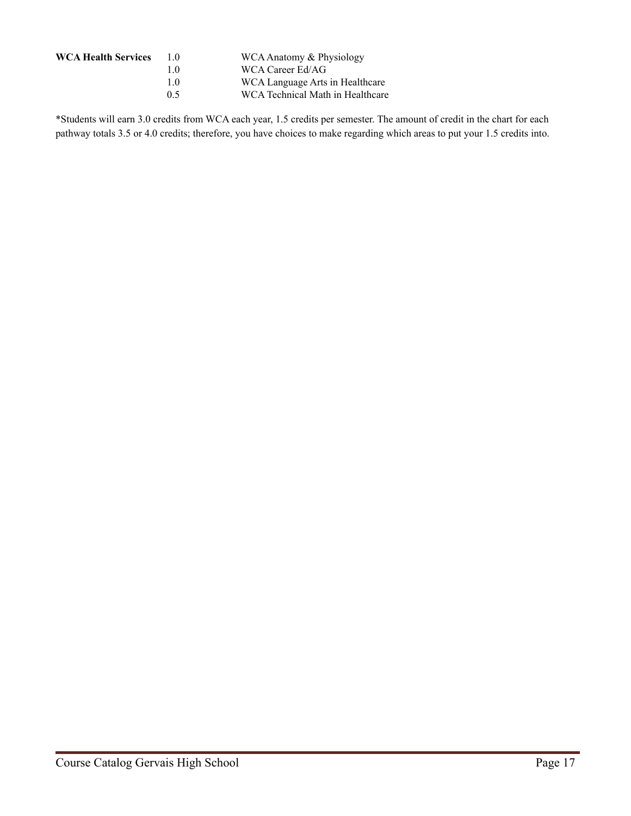| <b>WCA Health Services</b> | 10  | WCA Anatomy & Physiology         |
|----------------------------|-----|----------------------------------|
|                            | 10  | WCA Career Ed/AG                 |
|                            | 10  | WCA Language Arts in Healthcare  |
|                            | 0.5 | WCA Technical Math in Healthcare |
|                            |     |                                  |

\*Students will earn 3.0 credits from WCA each year, 1.5 credits per semester. The amount of credit in the chart for each pathway totals 3.5 or 4.0 credits; therefore, you have choices to make regarding which areas to put your 1.5 credits into.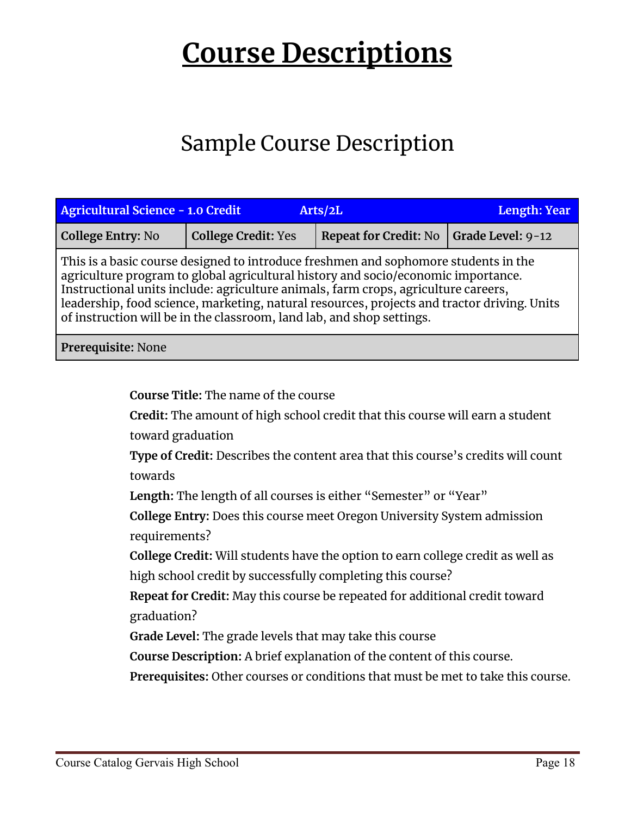# <span id="page-17-0"></span>**Course Descriptions**

## Sample Course Description

| <b>Agricultural Science - 1.0 Credit</b>                                                                                                                                                                                                                                                                                                                                                                                               | Length: Year               |                              |                   |  |  |
|----------------------------------------------------------------------------------------------------------------------------------------------------------------------------------------------------------------------------------------------------------------------------------------------------------------------------------------------------------------------------------------------------------------------------------------|----------------------------|------------------------------|-------------------|--|--|
| <b>College Entry: No</b>                                                                                                                                                                                                                                                                                                                                                                                                               | <b>College Credit: Yes</b> | <b>Repeat for Credit: No</b> | Grade Level: 9-12 |  |  |
| This is a basic course designed to introduce freshmen and sophomore students in the<br>agriculture program to global agricultural history and socio/economic importance.<br>Instructional units include: agriculture animals, farm crops, agriculture careers,<br>leadership, food science, marketing, natural resources, projects and tractor driving. Units<br>of instruction will be in the classroom, land lab, and shop settings. |                            |                              |                   |  |  |
| Prerequisite: None                                                                                                                                                                                                                                                                                                                                                                                                                     |                            |                              |                   |  |  |

**Course Title:** The name of the course

**Credit:** The amount of high school credit that this course will earn a student toward graduation

**Type of Credit:** Describes the content area that this course's credits will count towards

**Length:** The length of all courses is either "Semester" or "Year"

**College Entry:** Does this course meet Oregon University System admission requirements?

**College Credit:** Will students have the option to earn college credit as well as high school credit by successfully completing this course?

**Repeat for Credit:** May this course be repeated for additional credit toward graduation?

**Grade Level:** The grade levels that may take this course

**Course Description:** A brief explanation of the content of this course.

**Prerequisites:** Other courses or conditions that must be met to take this course.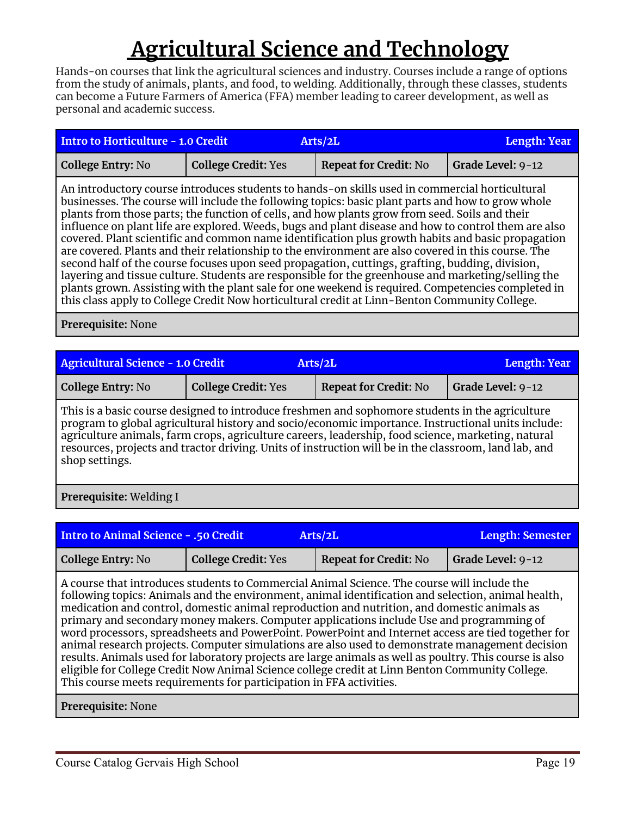## **Agricultural Science and Technology**

<span id="page-18-0"></span>Hands-on courses that link the agricultural sciences and industry. Courses include a range of options from the study of animals, plants, and food, to welding. Additionally, through these classes, students can become a Future Farmers of America (FFA) member leading to career development, as well as personal and academic success.

| <b>Intro to Horticulture - 1.0 Credit</b><br><b>Length: Year</b><br>Arts/2L                                                                                                                                                                                                                                                                                                                                                                                                                                                                                                                                                                                                                                                                                                                                                                                                                                                                                                                                                              |                            |                              |                   |  |  |
|------------------------------------------------------------------------------------------------------------------------------------------------------------------------------------------------------------------------------------------------------------------------------------------------------------------------------------------------------------------------------------------------------------------------------------------------------------------------------------------------------------------------------------------------------------------------------------------------------------------------------------------------------------------------------------------------------------------------------------------------------------------------------------------------------------------------------------------------------------------------------------------------------------------------------------------------------------------------------------------------------------------------------------------|----------------------------|------------------------------|-------------------|--|--|
| <b>College Entry: No</b>                                                                                                                                                                                                                                                                                                                                                                                                                                                                                                                                                                                                                                                                                                                                                                                                                                                                                                                                                                                                                 | <b>College Credit: Yes</b> | <b>Repeat for Credit: No</b> | Grade Level: 9-12 |  |  |
| An introductory course introduces students to hands-on skills used in commercial horticultural<br>businesses. The course will include the following topics: basic plant parts and how to grow whole<br>plants from those parts; the function of cells, and how plants grow from seed. Soils and their<br>influence on plant life are explored. Weeds, bugs and plant disease and how to control them are also<br>covered. Plant scientific and common name identification plus growth habits and basic propagation<br>are covered. Plants and their relationship to the environment are also covered in this course. The<br>second half of the course focuses upon seed propagation, cuttings, grafting, budding, division,<br>layering and tissue culture. Students are responsible for the greenhouse and marketing/selling the<br>plants grown. Assisting with the plant sale for one weekend is required. Competencies completed in<br>this class apply to College Credit Now horticultural credit at Linn-Benton Community College. |                            |                              |                   |  |  |
|                                                                                                                                                                                                                                                                                                                                                                                                                                                                                                                                                                                                                                                                                                                                                                                                                                                                                                                                                                                                                                          |                            |                              |                   |  |  |

**Prerequisite:** None

| <b>Agricultural Science - 1.0 Credit</b> |                            | Arts/2L                      | Length: Year      |
|------------------------------------------|----------------------------|------------------------------|-------------------|
| <b>College Entry: No</b>                 | <b>College Credit: Yes</b> | <b>Repeat for Credit: No</b> | Grade Level: 9-12 |

This is a basic course designed to introduce freshmen and sophomore students in the agriculture program to global agricultural history and socio/economic importance. Instructional units include: agriculture animals, farm crops, agriculture careers, leadership, food science, marketing, natural resources, projects and tractor driving. Units of instruction will be in the classroom, land lab, and shop settings.

## **Prerequisite:** Welding I

| <b>Intro to Animal Science - .50 Credit</b> |                            | Arts/2L                                                                                                                                                                                                                                                                                                                                                                                                                                                                                                                                                                                               | <b>Length: Semester</b> |
|---------------------------------------------|----------------------------|-------------------------------------------------------------------------------------------------------------------------------------------------------------------------------------------------------------------------------------------------------------------------------------------------------------------------------------------------------------------------------------------------------------------------------------------------------------------------------------------------------------------------------------------------------------------------------------------------------|-------------------------|
| <b>College Entry: No</b>                    | <b>College Credit: Yes</b> | <b>Repeat for Credit: No</b>                                                                                                                                                                                                                                                                                                                                                                                                                                                                                                                                                                          | Grade Level: 9-12       |
|                                             |                            | A course that introduces students to Commercial Animal Science. The course will include the<br>following topics: Animals and the environment, animal identification and selection, animal health,<br>medication and control, domestic animal reproduction and nutrition, and domestic animals as<br>primary and secondary money makers. Computer applications include Use and programming of<br>word processors, spreadsheets and PowerPoint. PowerPoint and Internet access are tied together for<br>animal research projects. Computer simulations are also used to demonstrate management decision |                         |

results. Animals used for laboratory projects are large animals as well as poultry. This course is also

eligible for College Credit Now Animal Science college credit at Linn Benton Community College. This course meets requirements for participation in FFA activities.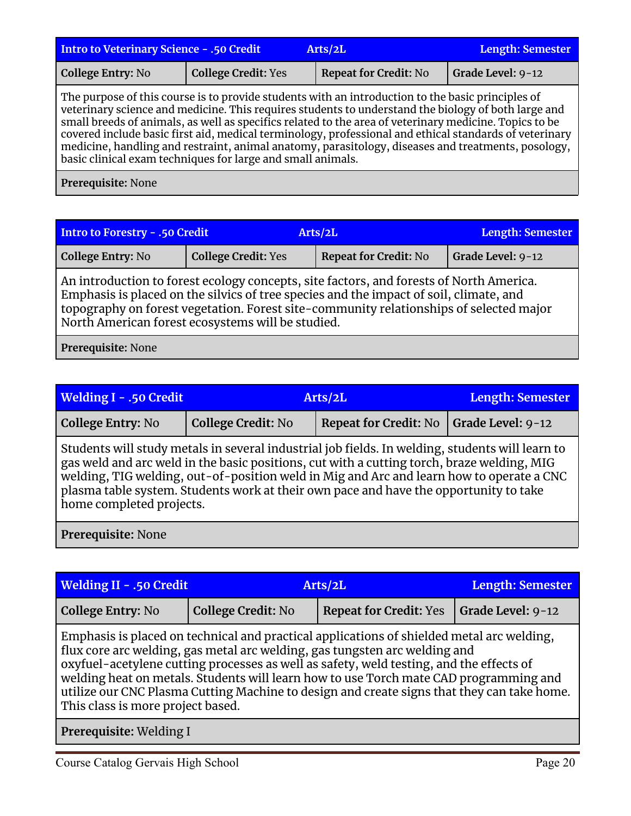| Intro to Veterinary Science - .50 Credit<br>Arts/2L                                                                                                                                                      |                          |  | <b>Length: Semester</b> |  |
|----------------------------------------------------------------------------------------------------------------------------------------------------------------------------------------------------------|--------------------------|--|-------------------------|--|
| College Entry: No                                                                                                                                                                                        | <b>Grade Level: 9-12</b> |  |                         |  |
| The purpose of this course is to provide students with an introduction to the basic principles of<br>veterinary science and medicine. This requires students to understand the biology of both large and |                          |  |                         |  |

small breeds of animals, as well as specifics related to the area of veterinary medicine. Topics to be covered include basic first aid, medical terminology, professional and ethical standards of veterinary medicine, handling and restraint, animal anatomy, parasitology, diseases and treatments, posology, basic clinical exam techniques for large and small animals.

**Prerequisite:** None

| Intro to Forestry - .50 Credit |                                                   | Arts/2L                                                                                                                                                                                                                                                                     | Length: Semester  |
|--------------------------------|---------------------------------------------------|-----------------------------------------------------------------------------------------------------------------------------------------------------------------------------------------------------------------------------------------------------------------------------|-------------------|
| College Entry: No              | <b>College Credit: Yes</b>                        | <b>Repeat for Credit: No</b>                                                                                                                                                                                                                                                | Grade Level: 9-12 |
|                                | North American forest ecosystems will be studied. | An introduction to forest ecology concepts, site factors, and forests of North America.<br>Emphasis is placed on the silvics of tree species and the impact of soil, climate, and<br>topography on forest vegetation. Forest site-community relationships of selected major |                   |

| Welding I - .50 Credit                                                                                                                                                                                                                                                                                                                                                                                         | Arts/2L                   |                              | Length: Semester  |  |
|----------------------------------------------------------------------------------------------------------------------------------------------------------------------------------------------------------------------------------------------------------------------------------------------------------------------------------------------------------------------------------------------------------------|---------------------------|------------------------------|-------------------|--|
| <b>College Entry: No</b>                                                                                                                                                                                                                                                                                                                                                                                       | <b>College Credit: No</b> | <b>Repeat for Credit: No</b> | Grade Level: 9-12 |  |
| Students will study metals in several industrial job fields. In welding, students will learn to<br>gas weld and arc weld in the basic positions, cut with a cutting torch, braze welding, MIG<br>welding, TIG welding, out-of-position weld in Mig and Arc and learn how to operate a CNC<br>plasma table system. Students work at their own pace and have the opportunity to take<br>home completed projects. |                           |                              |                   |  |
| Prerequisite: None                                                                                                                                                                                                                                                                                                                                                                                             |                           |                              |                   |  |

| <b>Welding II - .50 Credit</b>                                                                                                                                                                                                                                                                                                                                                                                                                                                                 | Arts/2L                   |                               | <b>Length: Semester</b> |  |
|------------------------------------------------------------------------------------------------------------------------------------------------------------------------------------------------------------------------------------------------------------------------------------------------------------------------------------------------------------------------------------------------------------------------------------------------------------------------------------------------|---------------------------|-------------------------------|-------------------------|--|
| <b>College Entry: No</b>                                                                                                                                                                                                                                                                                                                                                                                                                                                                       | <b>College Credit: No</b> | <b>Repeat for Credit: Yes</b> | Grade Level: 9-12       |  |
| Emphasis is placed on technical and practical applications of shielded metal arc welding,<br>flux core arc welding, gas metal arc welding, gas tungsten arc welding and<br>oxyfuel-acetylene cutting processes as well as safety, weld testing, and the effects of<br>welding heat on metals. Students will learn how to use Torch mate CAD programming and<br>utilize our CNC Plasma Cutting Machine to design and create signs that they can take home.<br>This class is more project based. |                           |                               |                         |  |
| Prerequisite: Welding I                                                                                                                                                                                                                                                                                                                                                                                                                                                                        |                           |                               |                         |  |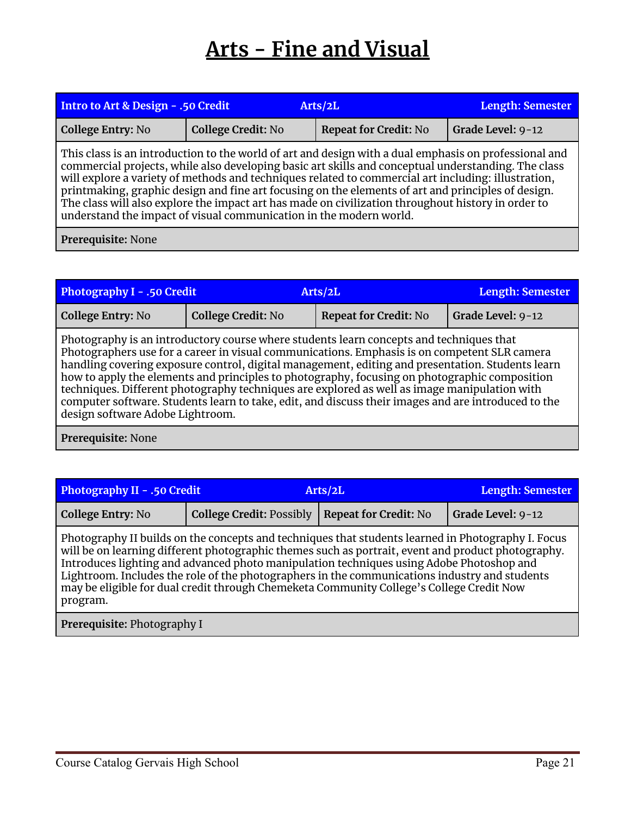## **Arts - Fine and Visual**

<span id="page-20-0"></span>

| Intro to Art & Design - .50 Credit                                                                                                                                                                                                                                                                                                                                                                                                                                                                                                                                                                    |                           | Arts/2L                      |                   |  |
|-------------------------------------------------------------------------------------------------------------------------------------------------------------------------------------------------------------------------------------------------------------------------------------------------------------------------------------------------------------------------------------------------------------------------------------------------------------------------------------------------------------------------------------------------------------------------------------------------------|---------------------------|------------------------------|-------------------|--|
| <b>College Entry: No</b>                                                                                                                                                                                                                                                                                                                                                                                                                                                                                                                                                                              | <b>College Credit: No</b> | <b>Repeat for Credit: No</b> | Grade Level: 9-12 |  |
| This class is an introduction to the world of art and design with a dual emphasis on professional and<br>commercial projects, while also developing basic art skills and conceptual understanding. The class<br>will explore a variety of methods and techniques related to commercial art including: illustration,<br>printmaking, graphic design and fine art focusing on the elements of art and principles of design.<br>The class will also explore the impact art has made on civilization throughout history in order to<br>understand the impact of visual communication in the modern world. |                           |                              |                   |  |
| Prerequisite: None                                                                                                                                                                                                                                                                                                                                                                                                                                                                                                                                                                                    |                           |                              |                   |  |

**Photography I - .50 Credit Arts/2L Length: Semester College Entry:** No **College Credit:** No **Repeat for Credit:** No Grade Level: 9-12 Photography is an introductory course where students learn concepts and techniques that Photographers use for a career in visual communications. Emphasis is on competent SLR camera handling covering exposure control, digital management, editing and presentation. Students learn how to apply the elements and principles to photography, focusing on photographic composition techniques. Different photography techniques are explored as well as image manipulation with computer software. Students learn to take, edit, and discuss their images and are introduced to the design software Adobe Lightroom.

**Prerequisite:** None

| <b>Photography II - .50 Credit</b> |                                                  | Arts/2L | <b>Length: Semester</b> |
|------------------------------------|--------------------------------------------------|---------|-------------------------|
| <b>College Entry: No</b>           | College Credit: Possibly   Repeat for Credit: No |         | Grade Level: 9-12       |

Photography II builds on the concepts and techniques that students learned in Photography I. Focus will be on learning different photographic themes such as portrait, event and product photography. Introduces lighting and advanced photo manipulation techniques using Adobe Photoshop and Lightroom. Includes the role of the photographers in the communications industry and students may be eligible for dual credit through Chemeketa Community College's College Credit Now program.

**Prerequisite:** Photography I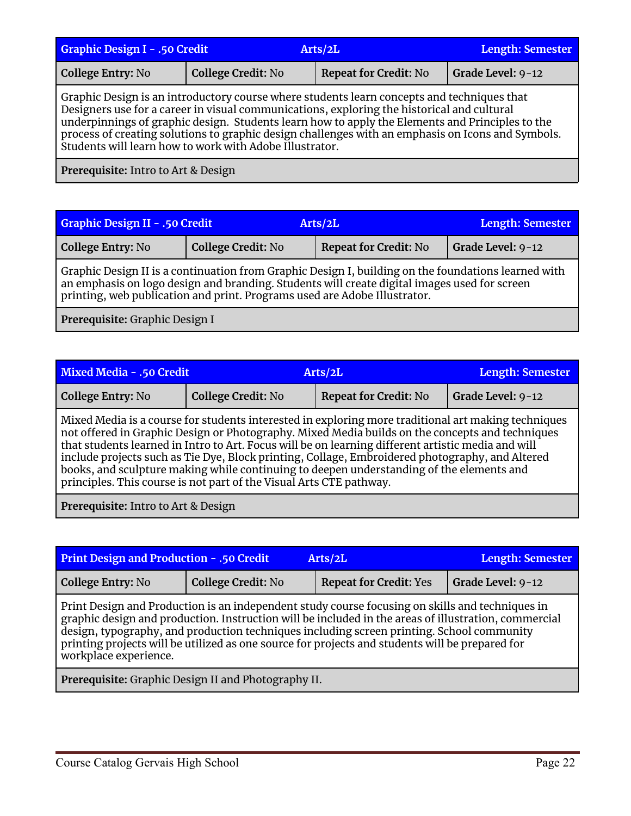| <b>Graphic Design I - .50 Credit</b> |                           | Arts/2L                                                                                                                                                                                                                                                                                                                                                                                          | <b>Length: Semester</b> |
|--------------------------------------|---------------------------|--------------------------------------------------------------------------------------------------------------------------------------------------------------------------------------------------------------------------------------------------------------------------------------------------------------------------------------------------------------------------------------------------|-------------------------|
| College Entry: No                    | <b>College Credit: No</b> | <b>Repeat for Credit: No</b>                                                                                                                                                                                                                                                                                                                                                                     | Grade Level: 9-12       |
|                                      |                           | Graphic Design is an introductory course where students learn concepts and techniques that<br>Designers use for a career in visual communications, exploring the historical and cultural<br>underpinnings of graphic design. Students learn how to apply the Elements and Principles to the<br>process of creating solutions to graphic design challenges with an emphasis on Icons and Symbols. |                         |

Students will learn how to work with Adobe Illustrator.

**Prerequisite:** Intro to Art & Design

| <b>Graphic Design II - .50 Credit</b>                                                               |                           | Arts/2L                      | Length: Semester         |  |
|-----------------------------------------------------------------------------------------------------|---------------------------|------------------------------|--------------------------|--|
| College Entry: No                                                                                   | <b>College Credit: No</b> | <b>Repeat for Credit: No</b> | <b>Grade Level: 9-12</b> |  |
| Graphic Design II is a continuation from Graphic Design I, building on the foundations learned with |                           |                              |                          |  |

an emphasis on logo design and branding. Students will create digital images used for screen printing, web publication and print. Programs used are Adobe Illustrator.

**Prerequisite:** Graphic Design I

| Mixed Media - .50 Credit |                                                                     | Arts/2L                                                                                                                                                                                                                                                                                                                                                                                                                                                                                                     | Length: Semester  |
|--------------------------|---------------------------------------------------------------------|-------------------------------------------------------------------------------------------------------------------------------------------------------------------------------------------------------------------------------------------------------------------------------------------------------------------------------------------------------------------------------------------------------------------------------------------------------------------------------------------------------------|-------------------|
| <b>College Entry: No</b> | <b>College Credit: No</b>                                           | <b>Repeat for Credit: No</b>                                                                                                                                                                                                                                                                                                                                                                                                                                                                                | Grade Level: 9-12 |
|                          | principles. This course is not part of the Visual Arts CTE pathway. | Mixed Media is a course for students interested in exploring more traditional art making techniques<br>not offered in Graphic Design or Photography. Mixed Media builds on the concepts and techniques<br>that students learned in Intro to Art. Focus will be on learning different artistic media and will<br>include projects such as Tie Dye, Block printing, Collage, Embroidered photography, and Altered<br>books, and sculpture making while continuing to deepen understanding of the elements and |                   |

**Prerequisite:** Intro to Art & Design

| <b>Print Design and Production - .50 Credit</b>                                                                                                                                                                                                                                                                                                                                                                                  | <b>Length: Semester</b>   |                               |                   |  |
|----------------------------------------------------------------------------------------------------------------------------------------------------------------------------------------------------------------------------------------------------------------------------------------------------------------------------------------------------------------------------------------------------------------------------------|---------------------------|-------------------------------|-------------------|--|
| College Entry: No                                                                                                                                                                                                                                                                                                                                                                                                                | <b>College Credit: No</b> | <b>Repeat for Credit: Yes</b> | Grade Level: 9-12 |  |
| Print Design and Production is an independent study course focusing on skills and techniques in<br>graphic design and production. Instruction will be included in the areas of illustration, commercial<br>design, typography, and production techniques including screen printing. School community<br>printing projects will be utilized as one source for projects and students will be prepared for<br>workplace experience. |                           |                               |                   |  |
| Prerequisite: Graphic Design II and Photography II.                                                                                                                                                                                                                                                                                                                                                                              |                           |                               |                   |  |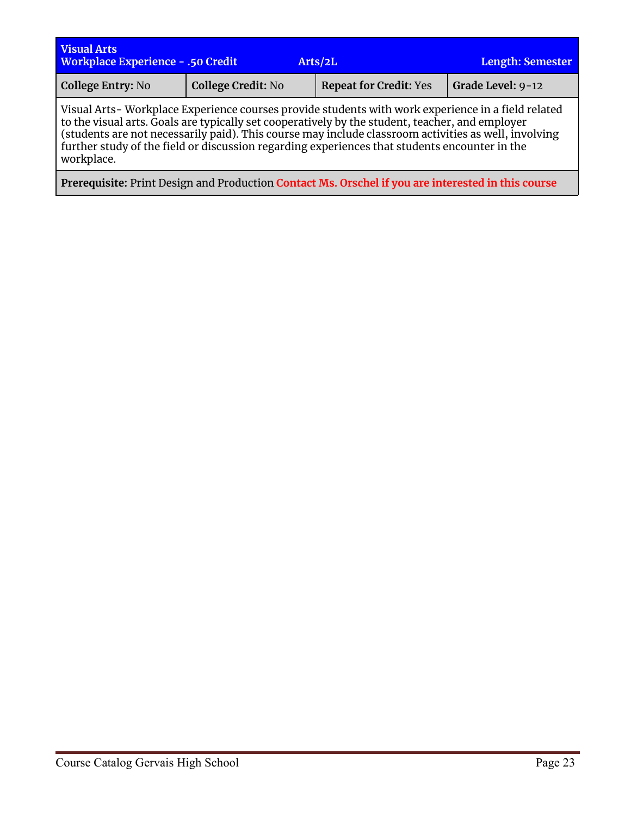| <b>Visual Arts</b><br><b>Workplace Experience - .50 Credit</b>                                      |                           |  | Arts/2L                       | Length: Semester  |
|-----------------------------------------------------------------------------------------------------|---------------------------|--|-------------------------------|-------------------|
| College Entry: No                                                                                   | <b>College Credit: No</b> |  | <b>Repeat for Credit: Yes</b> | Grade Level: 9-12 |
| Vigual Arte, Warlzplace Evropianes courses provide students with work evropiance in a field related |                           |  |                               |                   |

Visual Arts- Workplace Experience courses provide students with work experience in a field related to the visual arts. Goals are typically set cooperatively by the student, teacher, and employer (students are not necessarily paid). This course may include classroom activities as well, involving further study of the field or discussion regarding experiences that students encounter in the workplace.

**Prerequisite:** Print Design and Production **Contact Ms. Orschel if you are interested in this course**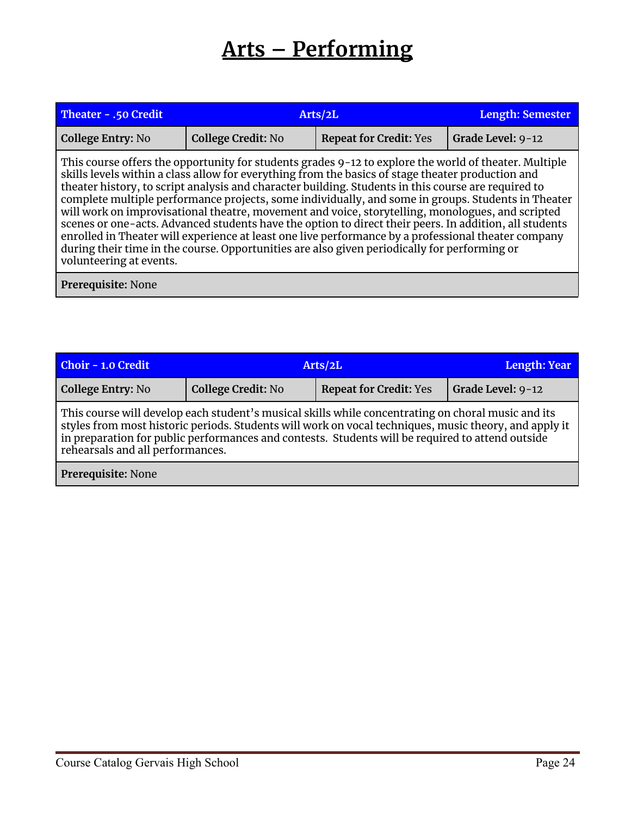## **Arts – Performing**

<span id="page-23-0"></span>

| Theater - .50 Credit     | Arts/2L                                                                                                                                                                                                                                                                                                                                                                                                                                                                                                                                                                                                                                                                                                                                                                                                                                      | <b>Length: Semester</b>       |                   |  |
|--------------------------|----------------------------------------------------------------------------------------------------------------------------------------------------------------------------------------------------------------------------------------------------------------------------------------------------------------------------------------------------------------------------------------------------------------------------------------------------------------------------------------------------------------------------------------------------------------------------------------------------------------------------------------------------------------------------------------------------------------------------------------------------------------------------------------------------------------------------------------------|-------------------------------|-------------------|--|
| <b>College Entry: No</b> | <b>College Credit: No</b>                                                                                                                                                                                                                                                                                                                                                                                                                                                                                                                                                                                                                                                                                                                                                                                                                    | <b>Repeat for Credit: Yes</b> | Grade Level: 9-12 |  |
| volunteering at events.  | This course offers the opportunity for students grades 9-12 to explore the world of theater. Multiple<br>skills levels within a class allow for everything from the basics of stage theater production and<br>theater history, to script analysis and character building. Students in this course are required to<br>complete multiple performance projects, some individually, and some in groups. Students in Theater<br>will work on improvisational theatre, movement and voice, storytelling, monologues, and scripted<br>scenes or one-acts. Advanced students have the option to direct their peers. In addition, all students<br>enrolled in Theater will experience at least one live performance by a professional theater company<br>during their time in the course. Opportunities are also given periodically for performing or |                               |                   |  |
| Prerequisite: None       |                                                                                                                                                                                                                                                                                                                                                                                                                                                                                                                                                                                                                                                                                                                                                                                                                                              |                               |                   |  |

| <b>Choir - 1.0 Credit</b> | Arts/2L                                                                                                                                                                                                                                                                                                                                             |                               | Length: Year      |  |
|---------------------------|-----------------------------------------------------------------------------------------------------------------------------------------------------------------------------------------------------------------------------------------------------------------------------------------------------------------------------------------------------|-------------------------------|-------------------|--|
| <b>College Entry: No</b>  | <b>College Credit: No</b>                                                                                                                                                                                                                                                                                                                           | <b>Repeat for Credit: Yes</b> | Grade Level: 9-12 |  |
|                           | This course will develop each student's musical skills while concentrating on choral music and its<br>styles from most historic periods. Students will work on vocal techniques, music theory, and apply it<br>in preparation for public performances and contests. Students will be required to attend outside<br>rehearsals and all performances. |                               |                   |  |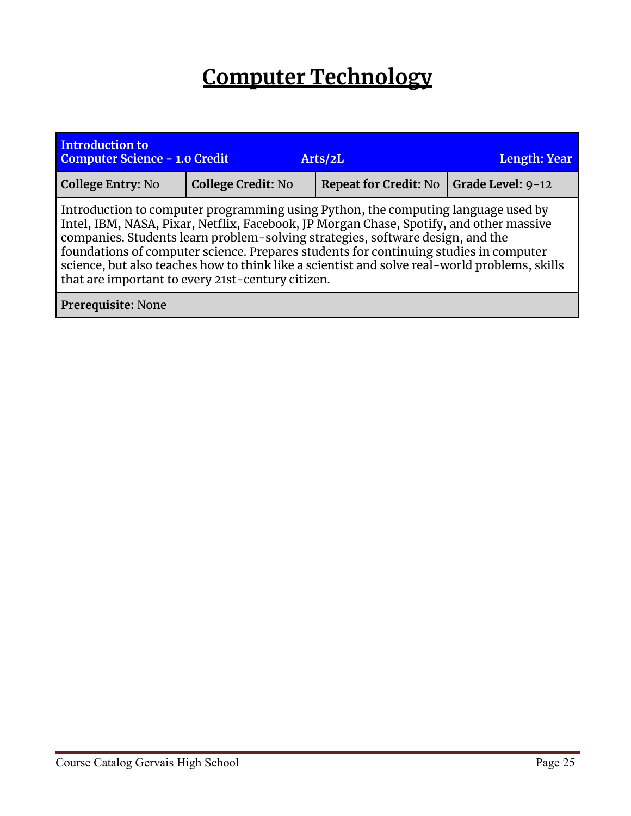## **Computer Technology**

<span id="page-24-0"></span>

| <b>Introduction to</b><br><b>Computer Science - 1.0 Credit</b>                                                                                                                                                                                                                                                                                                                                                                                                                                                | Length: Year              |                              |                   |  |  |
|---------------------------------------------------------------------------------------------------------------------------------------------------------------------------------------------------------------------------------------------------------------------------------------------------------------------------------------------------------------------------------------------------------------------------------------------------------------------------------------------------------------|---------------------------|------------------------------|-------------------|--|--|
| <b>College Entry: No</b>                                                                                                                                                                                                                                                                                                                                                                                                                                                                                      | <b>College Credit: No</b> | <b>Repeat for Credit: No</b> | Grade Level: 9-12 |  |  |
| Introduction to computer programming using Python, the computing language used by<br>Intel, IBM, NASA, Pixar, Netflix, Facebook, JP Morgan Chase, Spotify, and other massive<br>companies. Students learn problem-solving strategies, software design, and the<br>foundations of computer science. Prepares students for continuing studies in computer<br>science, but also teaches how to think like a scientist and solve real-world problems, skills<br>that are important to every 21st-century citizen. |                           |                              |                   |  |  |
| Prerequisite: None                                                                                                                                                                                                                                                                                                                                                                                                                                                                                            |                           |                              |                   |  |  |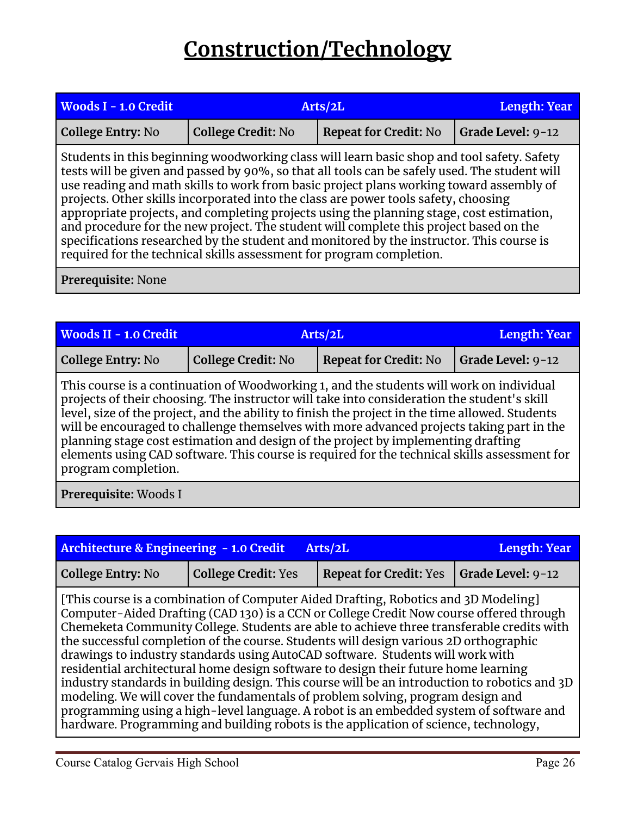## **Construction/Technology**

<span id="page-25-0"></span>

| <b>Woods I - 1.0 Credit</b> | Arts/2L                                                                                                                                                                                                                                                                                                                                                                                                                                                                                                                                                                                                                                                                                                                                 | <b>Length: Year</b>          |                   |
|-----------------------------|-----------------------------------------------------------------------------------------------------------------------------------------------------------------------------------------------------------------------------------------------------------------------------------------------------------------------------------------------------------------------------------------------------------------------------------------------------------------------------------------------------------------------------------------------------------------------------------------------------------------------------------------------------------------------------------------------------------------------------------------|------------------------------|-------------------|
| <b>College Entry: No</b>    | <b>College Credit: No</b>                                                                                                                                                                                                                                                                                                                                                                                                                                                                                                                                                                                                                                                                                                               | <b>Repeat for Credit: No</b> | Grade Level: 9-12 |
|                             | Students in this beginning woodworking class will learn basic shop and tool safety. Safety<br>tests will be given and passed by 90%, so that all tools can be safely used. The student will<br>use reading and math skills to work from basic project plans working toward assembly of<br>projects. Other skills incorporated into the class are power tools safety, choosing<br>appropriate projects, and completing projects using the planning stage, cost estimation,<br>and procedure for the new project. The student will complete this project based on the<br>specifications researched by the student and monitored by the instructor. This course is<br>required for the technical skills assessment for program completion. |                              |                   |

| <b>Woods II - 1.0 Credit</b>                                                                                                                                                                                                                                                                                                                                                                                                                                                                                                                                                                        | Arts/2L                   | <b>Length: Year</b>          |                   |  |
|-----------------------------------------------------------------------------------------------------------------------------------------------------------------------------------------------------------------------------------------------------------------------------------------------------------------------------------------------------------------------------------------------------------------------------------------------------------------------------------------------------------------------------------------------------------------------------------------------------|---------------------------|------------------------------|-------------------|--|
| <b>College Entry: No</b>                                                                                                                                                                                                                                                                                                                                                                                                                                                                                                                                                                            | <b>College Credit: No</b> | <b>Repeat for Credit: No</b> | Grade Level: 9-12 |  |
| This course is a continuation of Woodworking 1, and the students will work on individual<br>projects of their choosing. The instructor will take into consideration the student's skill<br>level, size of the project, and the ability to finish the project in the time allowed. Students<br>will be encouraged to challenge themselves with more advanced projects taking part in the<br>planning stage cost estimation and design of the project by implementing drafting<br>elements using CAD software. This course is required for the technical skills assessment for<br>program completion. |                           |                              |                   |  |
| Prerequisite: Woods I                                                                                                                                                                                                                                                                                                                                                                                                                                                                                                                                                                               |                           |                              |                   |  |

| <b>Architecture &amp; Engineering - 1.0 Credit</b><br>Arts/2L |                            |                                                                                                                                                                                                                                                                                                                                                                                                                                                                                                                                                                                                                                                                                                                                                                                                                                                                                                                     | <b>Length: Year</b> |
|---------------------------------------------------------------|----------------------------|---------------------------------------------------------------------------------------------------------------------------------------------------------------------------------------------------------------------------------------------------------------------------------------------------------------------------------------------------------------------------------------------------------------------------------------------------------------------------------------------------------------------------------------------------------------------------------------------------------------------------------------------------------------------------------------------------------------------------------------------------------------------------------------------------------------------------------------------------------------------------------------------------------------------|---------------------|
| <b>College Entry: No</b>                                      | <b>College Credit: Yes</b> | <b>Repeat for Credit: Yes</b>                                                                                                                                                                                                                                                                                                                                                                                                                                                                                                                                                                                                                                                                                                                                                                                                                                                                                       | Grade Level: 9-12   |
|                                                               |                            | [This course is a combination of Computer Aided Drafting, Robotics and 3D Modeling]<br>Computer-Aided Drafting (CAD 130) is a CCN or College Credit Now course offered through<br>Chemeketa Community College. Students are able to achieve three transferable credits with<br>the successful completion of the course. Students will design various 2D orthographic<br>drawings to industry standards using AutoCAD software. Students will work with<br>residential architectural home design software to design their future home learning<br>industry standards in building design. This course will be an introduction to robotics and 3D<br>modeling. We will cover the fundamentals of problem solving, program design and<br>programming using a high-level language. A robot is an embedded system of software and<br>hardware. Programming and building robots is the application of science, technology, |                     |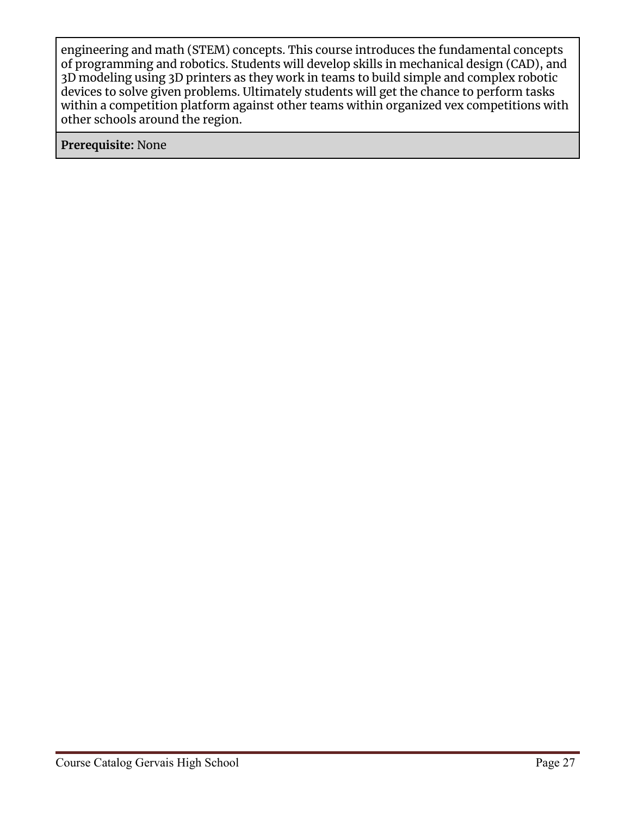engineering and math (STEM) concepts. This course introduces the fundamental concepts of programming and robotics. Students will develop skills in mechanical design (CAD), and 3D modeling using 3D printers as they work in teams to build simple and complex robotic devices to solve given problems. Ultimately students will get the chance to perform tasks within a competition platform against other teams within organized vex competitions with other schools around the region.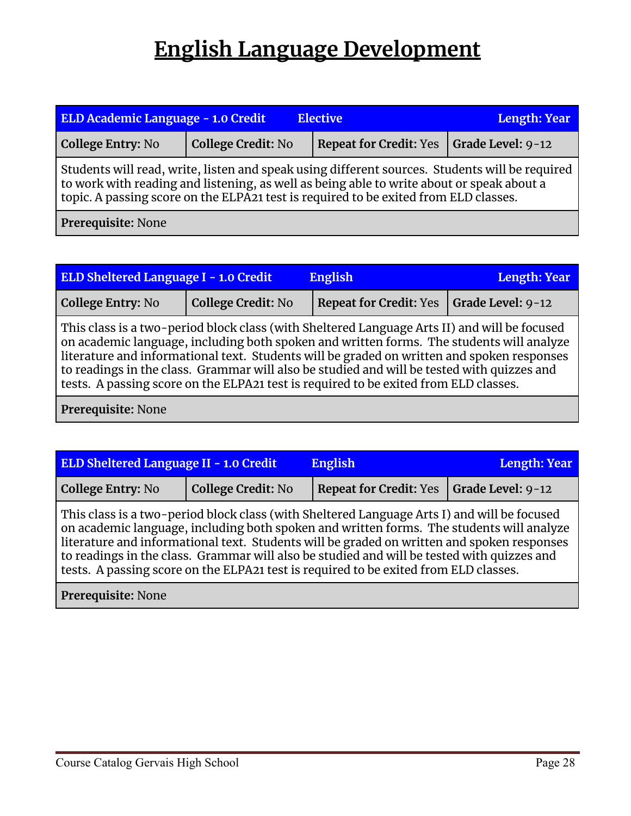## **English Language Development**

<span id="page-27-0"></span>

| ELD Academic Language - 1.0 Credit<br><b>Elective</b>                                                                                                                                                                                                                               |                           |                               | <b>Length: Year</b>       |  |
|-------------------------------------------------------------------------------------------------------------------------------------------------------------------------------------------------------------------------------------------------------------------------------------|---------------------------|-------------------------------|---------------------------|--|
| <b>College Entry: No</b>                                                                                                                                                                                                                                                            | <b>College Credit: No</b> | <b>Repeat for Credit: Yes</b> | $\vert$ Grade Level: 9-12 |  |
| Students will read, write, listen and speak using different sources. Students will be required<br>to work with reading and listening, as well as being able to write about or speak about a<br>topic. A passing score on the ELPA21 test is required to be exited from ELD classes. |                           |                               |                           |  |
| Prerequisite: None                                                                                                                                                                                                                                                                  |                           |                               |                           |  |

| ELD Sheltered Language I - 1.0 Credit<br><b>English</b>                                                                                                                                                                                                                                                                                                                                                                                                                      |                           |                               | <b>Length: Year</b> |
|------------------------------------------------------------------------------------------------------------------------------------------------------------------------------------------------------------------------------------------------------------------------------------------------------------------------------------------------------------------------------------------------------------------------------------------------------------------------------|---------------------------|-------------------------------|---------------------|
| <b>College Entry: No</b>                                                                                                                                                                                                                                                                                                                                                                                                                                                     | <b>College Credit: No</b> | <b>Repeat for Credit: Yes</b> | Grade Level: 9-12   |
| This class is a two-period block class (with Sheltered Language Arts II) and will be focused<br>on academic language, including both spoken and written forms. The students will analyze<br>literature and informational text. Students will be graded on written and spoken responses<br>to readings in the class. Grammar will also be studied and will be tested with quizzes and<br>tests. A passing score on the ELPA21 test is required to be exited from ELD classes. |                           |                               |                     |

| <b>ELD Sheltered Language II - 1.0 Credit</b><br><b>English</b>                                                                                                                                                                                                                                                                                                                                                                                                             |                           |                               | Length: Year      |  |
|-----------------------------------------------------------------------------------------------------------------------------------------------------------------------------------------------------------------------------------------------------------------------------------------------------------------------------------------------------------------------------------------------------------------------------------------------------------------------------|---------------------------|-------------------------------|-------------------|--|
| <b>College Entry: No</b>                                                                                                                                                                                                                                                                                                                                                                                                                                                    | <b>College Credit: No</b> | <b>Repeat for Credit: Yes</b> | Grade Level: 9-12 |  |
| This class is a two-period block class (with Sheltered Language Arts I) and will be focused<br>on academic language, including both spoken and written forms. The students will analyze<br>literature and informational text. Students will be graded on written and spoken responses<br>to readings in the class. Grammar will also be studied and will be tested with quizzes and<br>tests. A passing score on the ELPA21 test is required to be exited from ELD classes. |                           |                               |                   |  |
| Prerequisite: None                                                                                                                                                                                                                                                                                                                                                                                                                                                          |                           |                               |                   |  |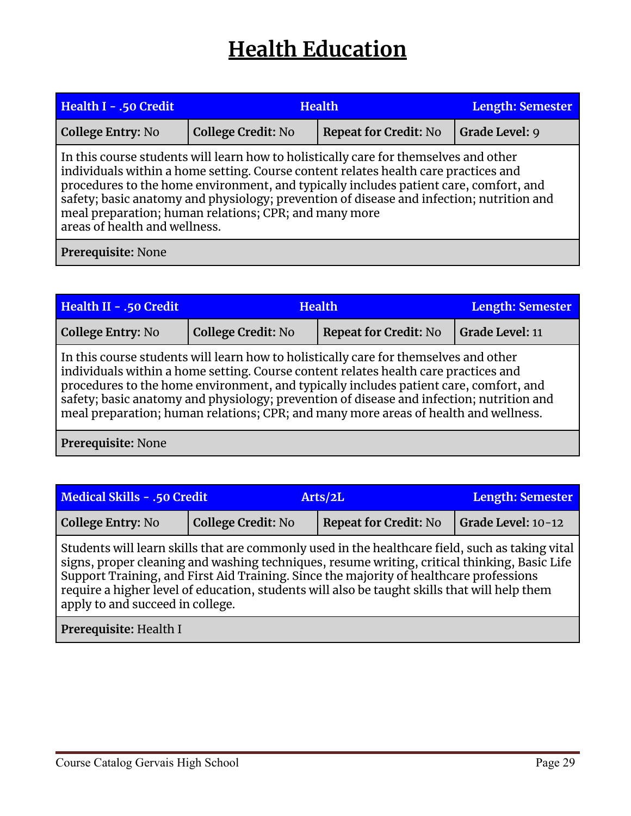## **Health Education**

<span id="page-28-0"></span>

| Health I - .50 Credit                                                                                                                                                                                                                                                                                                                                                                                                                                      | <b>Health</b>             |                              | <b>Length: Semester</b> |  |
|------------------------------------------------------------------------------------------------------------------------------------------------------------------------------------------------------------------------------------------------------------------------------------------------------------------------------------------------------------------------------------------------------------------------------------------------------------|---------------------------|------------------------------|-------------------------|--|
| College Entry: No                                                                                                                                                                                                                                                                                                                                                                                                                                          | <b>College Credit: No</b> | <b>Repeat for Credit: No</b> | Grade Level: 9          |  |
| In this course students will learn how to holistically care for themselves and other<br>individuals within a home setting. Course content relates health care practices and<br>procedures to the home environment, and typically includes patient care, comfort, and<br>safety; basic anatomy and physiology; prevention of disease and infection; nutrition and<br>meal preparation; human relations; CPR; and many more<br>areas of health and wellness. |                           |                              |                         |  |
| Prerequisite: None                                                                                                                                                                                                                                                                                                                                                                                                                                         |                           |                              |                         |  |

| Health II - .50 Credit                                                                                                                                                                                                                                                                                                                                                                                                                                  | <b>Health</b>             |                              | Length: Semester       |  |
|---------------------------------------------------------------------------------------------------------------------------------------------------------------------------------------------------------------------------------------------------------------------------------------------------------------------------------------------------------------------------------------------------------------------------------------------------------|---------------------------|------------------------------|------------------------|--|
| <b>College Entry: No</b>                                                                                                                                                                                                                                                                                                                                                                                                                                | <b>College Credit: No</b> | <b>Repeat for Credit: No</b> | <b>Grade Level: 11</b> |  |
| In this course students will learn how to holistically care for themselves and other<br>individuals within a home setting. Course content relates health care practices and<br>procedures to the home environment, and typically includes patient care, comfort, and<br>safety; basic anatomy and physiology; prevention of disease and infection; nutrition and<br>meal preparation; human relations; CPR; and many more areas of health and wellness. |                           |                              |                        |  |
| Prerequisite: None                                                                                                                                                                                                                                                                                                                                                                                                                                      |                           |                              |                        |  |

| Medical Skills - .50 Credit |                    | Arts/2L                      | <b>Length: Semester</b> |
|-----------------------------|--------------------|------------------------------|-------------------------|
| <b>College Entry: No</b>    | College Credit: No | <b>Repeat for Credit: No</b> | Grade Level: 10-12      |

Students will learn skills that are commonly used in the healthcare field, such as taking vital signs, proper cleaning and washing techniques, resume writing, critical thinking, Basic Life Support Training, and First Aid Training. Since the majority of healthcare professions require a higher level of education, students will also be taught skills that will help them apply to and succeed in college.

**Prerequisite:** Health I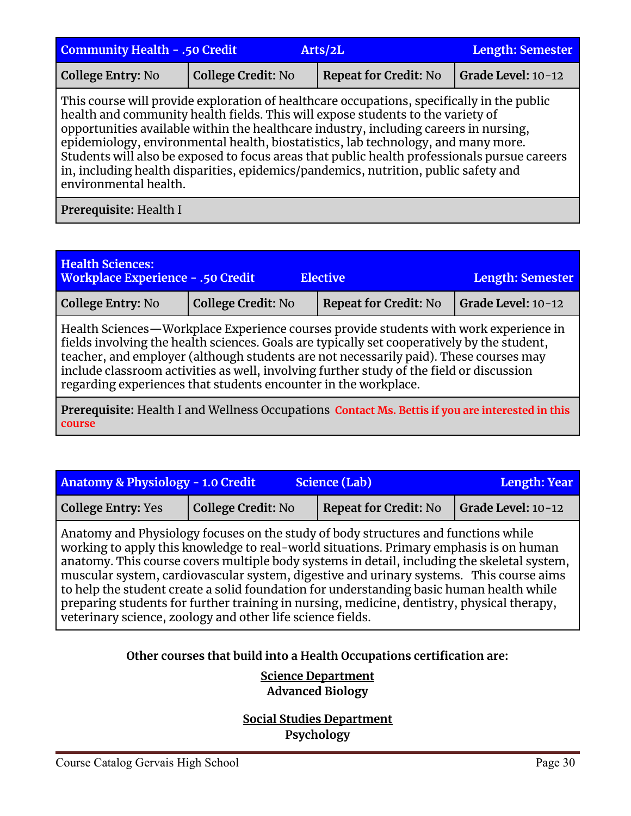| <b>Community Health - .50 Credit</b><br>Arts/2L                                                                                                                                                                                                                                                                                                                                                                                                                                                                                                                             |                           |                              | <b>Length: Semester</b> |  |
|-----------------------------------------------------------------------------------------------------------------------------------------------------------------------------------------------------------------------------------------------------------------------------------------------------------------------------------------------------------------------------------------------------------------------------------------------------------------------------------------------------------------------------------------------------------------------------|---------------------------|------------------------------|-------------------------|--|
| <b>College Entry: No</b>                                                                                                                                                                                                                                                                                                                                                                                                                                                                                                                                                    | <b>College Credit: No</b> | <b>Repeat for Credit: No</b> | Grade Level: 10-12      |  |
| This course will provide exploration of healthcare occupations, specifically in the public<br>health and community health fields. This will expose students to the variety of<br>opportunities available within the healthcare industry, including careers in nursing,<br>epidemiology, environmental health, biostatistics, lab technology, and many more.<br>Students will also be exposed to focus areas that public health professionals pursue careers<br>in, including health disparities, epidemics/pandemics, nutrition, public safety and<br>environmental health. |                           |                              |                         |  |
| Prerequisite: Health I                                                                                                                                                                                                                                                                                                                                                                                                                                                                                                                                                      |                           |                              |                         |  |

| <b>Health Sciences:</b><br><b>Workplace Experience - .50 Credit</b>                                                                                                                                                                                                                                                                                                                                                                            |                           | <b>Elective</b>              | <b>Length: Semester</b> |  |
|------------------------------------------------------------------------------------------------------------------------------------------------------------------------------------------------------------------------------------------------------------------------------------------------------------------------------------------------------------------------------------------------------------------------------------------------|---------------------------|------------------------------|-------------------------|--|
| <b>College Entry: No</b>                                                                                                                                                                                                                                                                                                                                                                                                                       | <b>College Credit: No</b> | <b>Repeat for Credit: No</b> | Grade Level: 10-12      |  |
| Health Sciences - Workplace Experience courses provide students with work experience in<br>fields involving the health sciences. Goals are typically set cooperatively by the student,<br>teacher, and employer (although students are not necessarily paid). These courses may<br>include classroom activities as well, involving further study of the field or discussion<br>regarding experiences that students encounter in the workplace. |                           |                              |                         |  |
| Prerequisite: Health I and Wellness Occupations Contact Ms. Bettis if you are interested in this                                                                                                                                                                                                                                                                                                                                               |                           |                              |                         |  |

| Anatomy & Physiology - 1.0 Credit |                           | Science (Lab)                | Length: Year               |
|-----------------------------------|---------------------------|------------------------------|----------------------------|
| <b>College Entry: Yes</b>         | <b>College Credit: No</b> | <b>Repeat for Credit: No</b> | $\vert$ Grade Level: 10-12 |

Anatomy and Physiology focuses on the study of body structures and functions while working to apply this knowledge to real-world situations. Primary emphasis is on human anatomy. This course covers multiple body systems in detail, including the skeletal system, muscular system, cardiovascular system, digestive and urinary systems. This course aims to help the student create a solid foundation for understanding basic human health while preparing students for further training in nursing, medicine, dentistry, physical therapy, veterinary science, zoology and other life science fields.

## **Other courses that build into a Health Occupations certification are:**

## **Science Department Advanced Biology**

**Social Studies Department Psychology**

**course**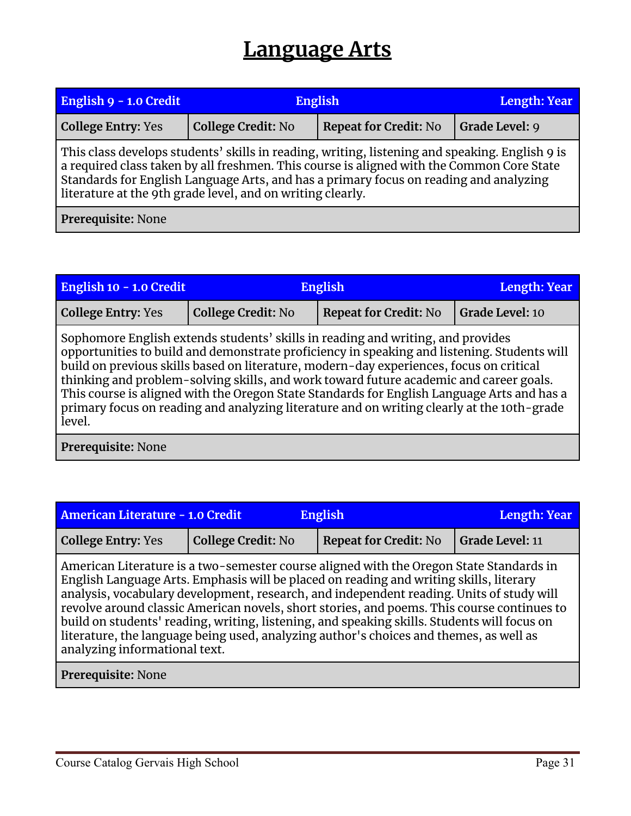## **Language Arts**

<span id="page-30-0"></span>

| English 9 - 1.0 Credit                                                                                                                                                                                                                                                                                                                             | <b>English</b>            |                              | Length: Year   |  |
|----------------------------------------------------------------------------------------------------------------------------------------------------------------------------------------------------------------------------------------------------------------------------------------------------------------------------------------------------|---------------------------|------------------------------|----------------|--|
| <b>College Entry: Yes</b>                                                                                                                                                                                                                                                                                                                          | <b>College Credit: No</b> | <b>Repeat for Credit: No</b> | Grade Level: 9 |  |
| This class develops students' skills in reading, writing, listening and speaking. English 9 is<br>a required class taken by all freshmen. This course is aligned with the Common Core State<br>Standards for English Language Arts, and has a primary focus on reading and analyzing<br>literature at the 9th grade level, and on writing clearly. |                           |                              |                |  |
| Prerequisite: None                                                                                                                                                                                                                                                                                                                                 |                           |                              |                |  |

| English 10 - 1.0 Credit   |                           | <b>English</b>                                                                                                                                                                                                                                                                                                                                                                                                                                                                                                                                                  |                 |  |
|---------------------------|---------------------------|-----------------------------------------------------------------------------------------------------------------------------------------------------------------------------------------------------------------------------------------------------------------------------------------------------------------------------------------------------------------------------------------------------------------------------------------------------------------------------------------------------------------------------------------------------------------|-----------------|--|
| <b>College Entry: Yes</b> | <b>College Credit: No</b> | <b>Repeat for Credit: No</b>                                                                                                                                                                                                                                                                                                                                                                                                                                                                                                                                    | Grade Level: 10 |  |
| level.                    |                           | Sophomore English extends students' skills in reading and writing, and provides<br>opportunities to build and demonstrate proficiency in speaking and listening. Students will<br>build on previous skills based on literature, modern-day experiences, focus on critical<br>thinking and problem-solving skills, and work toward future academic and career goals.<br>This course is aligned with the Oregon State Standards for English Language Arts and has a<br>primary focus on reading and analyzing literature and on writing clearly at the 10th-grade |                 |  |
| Prerequisite: None        |                           |                                                                                                                                                                                                                                                                                                                                                                                                                                                                                                                                                                 |                 |  |

| American Literature - 1.0 Credit<br><b>English</b><br>Length: Year<br><b>College Credit: No</b><br><b>Repeat for Credit: No</b><br><b>Grade Level: 11</b><br><b>College Entry: Yes</b><br>American Literature is a two-semester course aligned with the Oregon State Standards in<br>English Language Arts. Emphasis will be placed on reading and writing skills, literary<br>analysis, vocabulary development, research, and independent reading. Units of study will<br>revolve around classic American novels, short stories, and poems. This course continues to<br>build on students' reading, writing, listening, and speaking skills. Students will focus on<br>literature, the language being used, analyzing author's choices and themes, as well as<br>analyzing informational text. |  |  |
|-------------------------------------------------------------------------------------------------------------------------------------------------------------------------------------------------------------------------------------------------------------------------------------------------------------------------------------------------------------------------------------------------------------------------------------------------------------------------------------------------------------------------------------------------------------------------------------------------------------------------------------------------------------------------------------------------------------------------------------------------------------------------------------------------|--|--|
|                                                                                                                                                                                                                                                                                                                                                                                                                                                                                                                                                                                                                                                                                                                                                                                                 |  |  |
|                                                                                                                                                                                                                                                                                                                                                                                                                                                                                                                                                                                                                                                                                                                                                                                                 |  |  |
|                                                                                                                                                                                                                                                                                                                                                                                                                                                                                                                                                                                                                                                                                                                                                                                                 |  |  |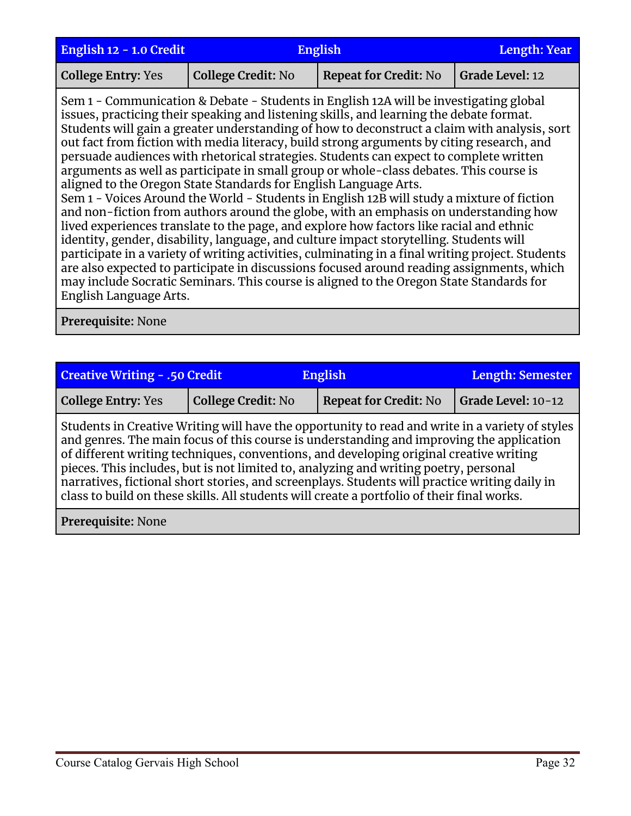| English 12 - 1.0 Credit   | <b>English</b>                                                   |                                                                                                                                                                                                                                                                                                                                                                                                                                                                                                                                                                                                                                                                                                                                                                                                                                                                                                                                                                                                                                                                                                                                                                                                                                         | <b>Length: Year</b> |
|---------------------------|------------------------------------------------------------------|-----------------------------------------------------------------------------------------------------------------------------------------------------------------------------------------------------------------------------------------------------------------------------------------------------------------------------------------------------------------------------------------------------------------------------------------------------------------------------------------------------------------------------------------------------------------------------------------------------------------------------------------------------------------------------------------------------------------------------------------------------------------------------------------------------------------------------------------------------------------------------------------------------------------------------------------------------------------------------------------------------------------------------------------------------------------------------------------------------------------------------------------------------------------------------------------------------------------------------------------|---------------------|
| <b>College Entry: Yes</b> | <b>College Credit: No</b>                                        | <b>Repeat for Credit: No</b>                                                                                                                                                                                                                                                                                                                                                                                                                                                                                                                                                                                                                                                                                                                                                                                                                                                                                                                                                                                                                                                                                                                                                                                                            | Grade Level: 12     |
| English Language Arts.    | aligned to the Oregon State Standards for English Language Arts. | Sem 1 - Communication & Debate - Students in English 12A will be investigating global<br>issues, practicing their speaking and listening skills, and learning the debate format.<br>Students will gain a greater understanding of how to deconstruct a claim with analysis, sort<br>out fact from fiction with media literacy, build strong arguments by citing research, and<br>persuade audiences with rhetorical strategies. Students can expect to complete written<br>arguments as well as participate in small group or whole-class debates. This course is<br>Sem 1 - Voices Around the World - Students in English 12B will study a mixture of fiction<br>and non-fiction from authors around the globe, with an emphasis on understanding how<br>lived experiences translate to the page, and explore how factors like racial and ethnic<br>identity, gender, disability, language, and culture impact storytelling. Students will<br>participate in a variety of writing activities, culminating in a final writing project. Students<br>are also expected to participate in discussions focused around reading assignments, which<br>may include Socratic Seminars. This course is aligned to the Oregon State Standards for |                     |

| <b>Creative Writing - .50 Credit</b><br><b>English</b>                                                                                                                                                                                                                                                                                                                                                                                                                                                                                                                       |                           |                              | <b>Length: Semester</b> |  |  |
|------------------------------------------------------------------------------------------------------------------------------------------------------------------------------------------------------------------------------------------------------------------------------------------------------------------------------------------------------------------------------------------------------------------------------------------------------------------------------------------------------------------------------------------------------------------------------|---------------------------|------------------------------|-------------------------|--|--|
| <b>College Entry: Yes</b>                                                                                                                                                                                                                                                                                                                                                                                                                                                                                                                                                    | <b>College Credit: No</b> | <b>Repeat for Credit: No</b> | Grade Level: 10-12      |  |  |
| Students in Creative Writing will have the opportunity to read and write in a variety of styles<br>and genres. The main focus of this course is understanding and improving the application<br>of different writing techniques, conventions, and developing original creative writing<br>pieces. This includes, but is not limited to, analyzing and writing poetry, personal<br>narratives, fictional short stories, and screenplays. Students will practice writing daily in<br>class to build on these skills. All students will create a portfolio of their final works. |                           |                              |                         |  |  |
| Prerequisite: None                                                                                                                                                                                                                                                                                                                                                                                                                                                                                                                                                           |                           |                              |                         |  |  |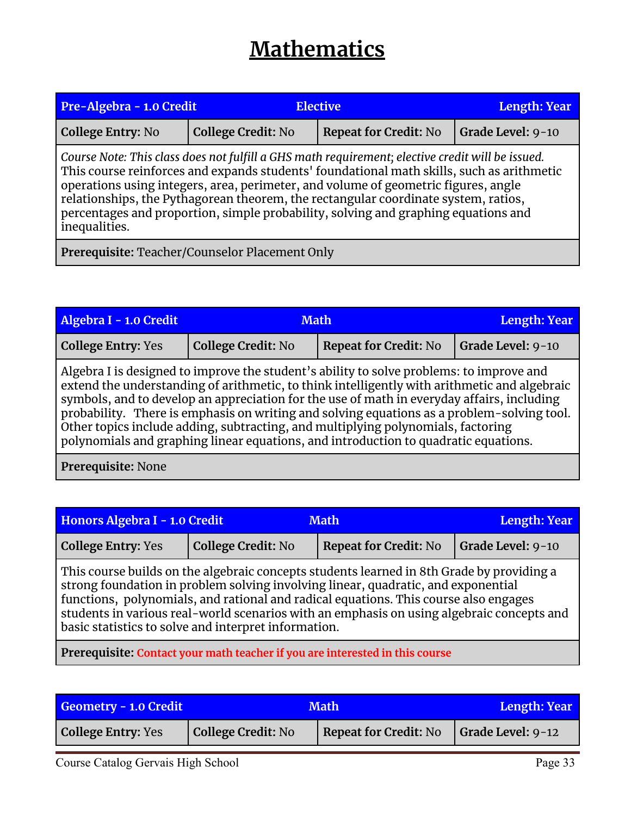## **Mathematics**

<span id="page-32-0"></span>

| Pre-Algebra - 1.0 Credit<br><b>Elective</b>                                                                                                                                                                                                                                                                                                                                                                                                                                      |                           |                              | <b>Length: Year</b> |  |
|----------------------------------------------------------------------------------------------------------------------------------------------------------------------------------------------------------------------------------------------------------------------------------------------------------------------------------------------------------------------------------------------------------------------------------------------------------------------------------|---------------------------|------------------------------|---------------------|--|
| College Entry: No                                                                                                                                                                                                                                                                                                                                                                                                                                                                | <b>College Credit: No</b> | <b>Repeat for Credit: No</b> | Grade Level: 9-10   |  |
| Course Note: This class does not fulfill a GHS math requirement; elective credit will be issued.<br>This course reinforces and expands students' foundational math skills, such as arithmetic<br>operations using integers, area, perimeter, and volume of geometric figures, angle<br>relationships, the Pythagorean theorem, the rectangular coordinate system, ratios,<br>percentages and proportion, simple probability, solving and graphing equations and<br>inequalities. |                           |                              |                     |  |
| Prerequisite: Teacher/Counselor Placement Only                                                                                                                                                                                                                                                                                                                                                                                                                                   |                           |                              |                     |  |

| Algebra I - 1.0 Credit                                                                                                                                                                                                                                                                                                                                                                                                                                                                                                                                          | <b>Math</b>               | <b>Length: Year</b>          |                   |  |
|-----------------------------------------------------------------------------------------------------------------------------------------------------------------------------------------------------------------------------------------------------------------------------------------------------------------------------------------------------------------------------------------------------------------------------------------------------------------------------------------------------------------------------------------------------------------|---------------------------|------------------------------|-------------------|--|
| <b>College Entry: Yes</b>                                                                                                                                                                                                                                                                                                                                                                                                                                                                                                                                       | <b>College Credit: No</b> | <b>Repeat for Credit: No</b> | Grade Level: 9-10 |  |
| Algebra I is designed to improve the student's ability to solve problems: to improve and<br>extend the understanding of arithmetic, to think intelligently with arithmetic and algebraic<br>symbols, and to develop an appreciation for the use of math in everyday affairs, including<br>probability. There is emphasis on writing and solving equations as a problem-solving tool.<br>Other topics include adding, subtracting, and multiplying polynomials, factoring<br>polynomials and graphing linear equations, and introduction to quadratic equations. |                           |                              |                   |  |
| Prerequisite: None                                                                                                                                                                                                                                                                                                                                                                                                                                                                                                                                              |                           |                              |                   |  |

| Honors Algebra I - 1.0 Credit<br><b>Math</b>                                                                                                                                                                                                                                                                                                                                                                                |                           |                              | Length: Year      |  |
|-----------------------------------------------------------------------------------------------------------------------------------------------------------------------------------------------------------------------------------------------------------------------------------------------------------------------------------------------------------------------------------------------------------------------------|---------------------------|------------------------------|-------------------|--|
| <b>College Entry: Yes</b>                                                                                                                                                                                                                                                                                                                                                                                                   | <b>College Credit: No</b> | <b>Repeat for Credit: No</b> | Grade Level: 9-10 |  |
| This course builds on the algebraic concepts students learned in 8th Grade by providing a<br>strong foundation in problem solving involving linear, quadratic, and exponential<br>functions, polynomials, and rational and radical equations. This course also engages<br>students in various real-world scenarios with an emphasis on using algebraic concepts and<br>basic statistics to solve and interpret information. |                           |                              |                   |  |
| Prerequisite: Contact your math teacher if you are interested in this course                                                                                                                                                                                                                                                                                                                                                |                           |                              |                   |  |

| Geometry - 1.0 Credit     | <b>Math</b>        |                              | Length: Year              |
|---------------------------|--------------------|------------------------------|---------------------------|
| <b>College Entry: Yes</b> | College Credit: No | <b>Repeat for Credit: No</b> | $\vert$ Grade Level: 9-12 |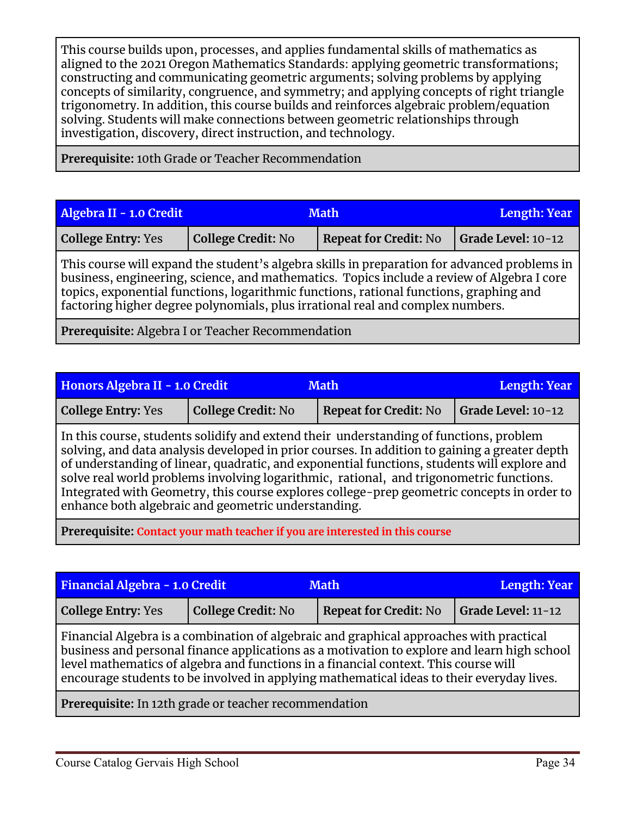This course builds upon, processes, and applies fundamental skills of mathematics as aligned to the 2021 Oregon Mathematics Standards: applying geometric transformations; constructing and communicating geometric arguments; solving problems by applying concepts of similarity, congruence, and symmetry; and applying concepts of right triangle trigonometry. In addition, this course builds and reinforces algebraic problem/equation solving. Students will make connections between geometric relationships through investigation, discovery, direct instruction, and technology.

**Prerequisite:** 10th Grade or Teacher Recommendation

| Algebra II - 1.0 Credit   | <b>Math</b>               |                              | Length: Year       |
|---------------------------|---------------------------|------------------------------|--------------------|
| <b>College Entry: Yes</b> | <b>College Credit: No</b> | <b>Repeat for Credit: No</b> | Grade Level: 10-12 |

This course will expand the student's algebra skills in preparation for advanced problems in business, engineering, science, and mathematics. Topics include a review of Algebra I core topics, exponential functions, logarithmic functions, rational functions, graphing and factoring higher degree polynomials, plus irrational real and complex numbers.

**Prerequisite:** Algebra I or Teacher Recommendation

| Honors Algebra II - 1.0 Credit<br><b>Math</b> |                                                     |                                                                                                                                                                                                                                                                                                                                                                                                                                                                                 | <b>Length: Year</b> |
|-----------------------------------------------|-----------------------------------------------------|---------------------------------------------------------------------------------------------------------------------------------------------------------------------------------------------------------------------------------------------------------------------------------------------------------------------------------------------------------------------------------------------------------------------------------------------------------------------------------|---------------------|
| <b>College Entry: Yes</b>                     | <b>College Credit: No</b>                           | <b>Repeat for Credit: No</b>                                                                                                                                                                                                                                                                                                                                                                                                                                                    | Grade Level: 10-12  |
|                                               | enhance both algebraic and geometric understanding. | In this course, students solidify and extend their understanding of functions, problem<br>solving, and data analysis developed in prior courses. In addition to gaining a greater depth<br>of understanding of linear, quadratic, and exponential functions, students will explore and<br>solve real world problems involving logarithmic, rational, and trigonometric functions.<br>Integrated with Geometry, this course explores college-prep geometric concepts in order to |                     |
|                                               |                                                     |                                                                                                                                                                                                                                                                                                                                                                                                                                                                                 |                     |

**Prerequisite: Contact your math teacher if you are interested in this course**

| Financial Algebra - 1.0 Credit<br><b>Math</b>                                                                                                                                                                                                                                                                                                                              |                           |                              | <b>Length: Year</b> |  |
|----------------------------------------------------------------------------------------------------------------------------------------------------------------------------------------------------------------------------------------------------------------------------------------------------------------------------------------------------------------------------|---------------------------|------------------------------|---------------------|--|
| <b>College Entry: Yes</b>                                                                                                                                                                                                                                                                                                                                                  | <b>College Credit: No</b> | <b>Repeat for Credit: No</b> | Grade Level: 11-12  |  |
| Financial Algebra is a combination of algebraic and graphical approaches with practical<br>business and personal finance applications as a motivation to explore and learn high school<br>level mathematics of algebra and functions in a financial context. This course will<br>encourage students to be involved in applying mathematical ideas to their everyday lives. |                           |                              |                     |  |
| Prerequisite: In 12th grade or teacher recommendation                                                                                                                                                                                                                                                                                                                      |                           |                              |                     |  |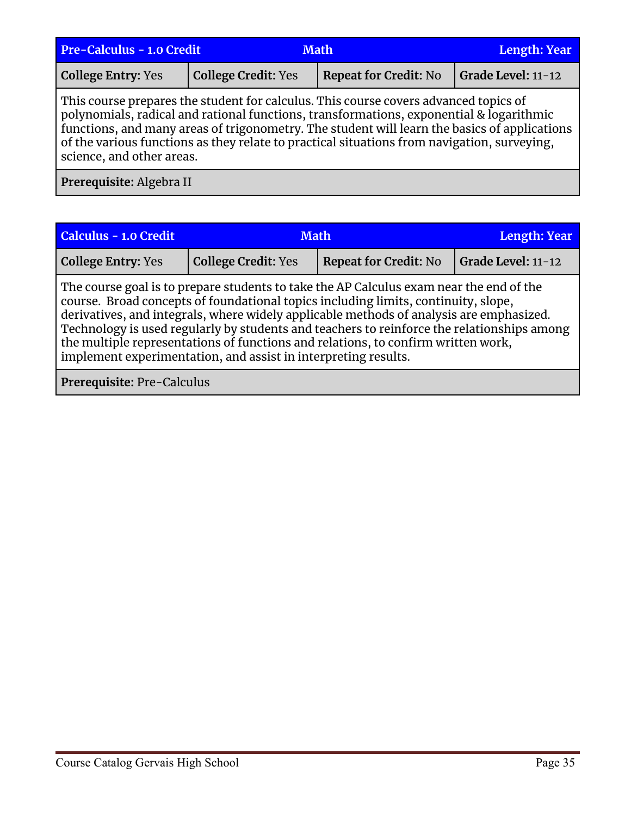| Pre-Calculus - 1.0 Credit<br><b>Math</b>                                                                                                                                                                                                                                                                                                                                                                    |                            |                              | <b>Length: Year</b> |  |
|-------------------------------------------------------------------------------------------------------------------------------------------------------------------------------------------------------------------------------------------------------------------------------------------------------------------------------------------------------------------------------------------------------------|----------------------------|------------------------------|---------------------|--|
| <b>College Entry: Yes</b>                                                                                                                                                                                                                                                                                                                                                                                   | <b>College Credit: Yes</b> | <b>Repeat for Credit: No</b> | Grade Level: 11-12  |  |
| This course prepares the student for calculus. This course covers advanced topics of<br>polynomials, radical and rational functions, transformations, exponential & logarithmic<br>functions, and many areas of trigonometry. The student will learn the basics of applications<br>of the various functions as they relate to practical situations from navigation, surveying,<br>science, and other areas. |                            |                              |                     |  |
| Prerequisite: Algebra II                                                                                                                                                                                                                                                                                                                                                                                    |                            |                              |                     |  |

| <b>Calculus - 1.0 Credit</b>                                                                                                                                                                                                                                                                                                                                                                                                                                                                                                  | <b>Math</b>                |                              | <b>Length: Year</b> |
|-------------------------------------------------------------------------------------------------------------------------------------------------------------------------------------------------------------------------------------------------------------------------------------------------------------------------------------------------------------------------------------------------------------------------------------------------------------------------------------------------------------------------------|----------------------------|------------------------------|---------------------|
| <b>College Entry: Yes</b>                                                                                                                                                                                                                                                                                                                                                                                                                                                                                                     | <b>College Credit: Yes</b> | <b>Repeat for Credit: No</b> | Grade Level: 11-12  |
| The course goal is to prepare students to take the AP Calculus exam near the end of the<br>course. Broad concepts of foundational topics including limits, continuity, slope,<br>derivatives, and integrals, where widely applicable methods of analysis are emphasized.<br>Technology is used regularly by students and teachers to reinforce the relationships among<br>the multiple representations of functions and relations, to confirm written work,<br>implement experimentation, and assist in interpreting results. |                            |                              |                     |

**Prerequisite:** Pre-Calculus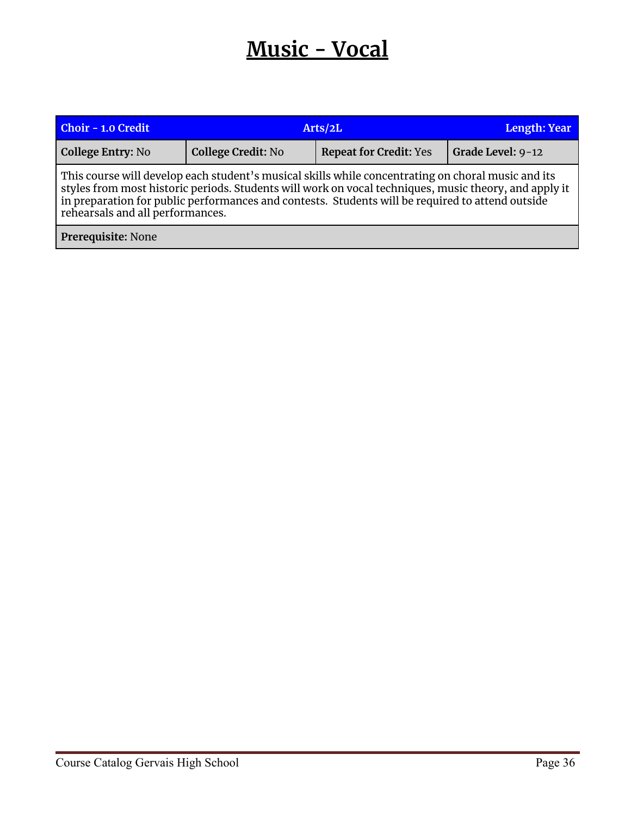## **Music - Vocal**

<span id="page-35-0"></span>

| <b>Choir - 1.0 Credit</b>                                                                                                                                                                                                                                                                                                                           | Arts/2L                   |                               | Length: Year      |  |
|-----------------------------------------------------------------------------------------------------------------------------------------------------------------------------------------------------------------------------------------------------------------------------------------------------------------------------------------------------|---------------------------|-------------------------------|-------------------|--|
| College Entry: No                                                                                                                                                                                                                                                                                                                                   | <b>College Credit: No</b> | <b>Repeat for Credit: Yes</b> | Grade Level: 9-12 |  |
| This course will develop each student's musical skills while concentrating on choral music and its<br>styles from most historic periods. Students will work on vocal techniques, music theory, and apply it<br>in preparation for public performances and contests. Students will be required to attend outside<br>rehearsals and all performances. |                           |                               |                   |  |
| Prerequisite: None                                                                                                                                                                                                                                                                                                                                  |                           |                               |                   |  |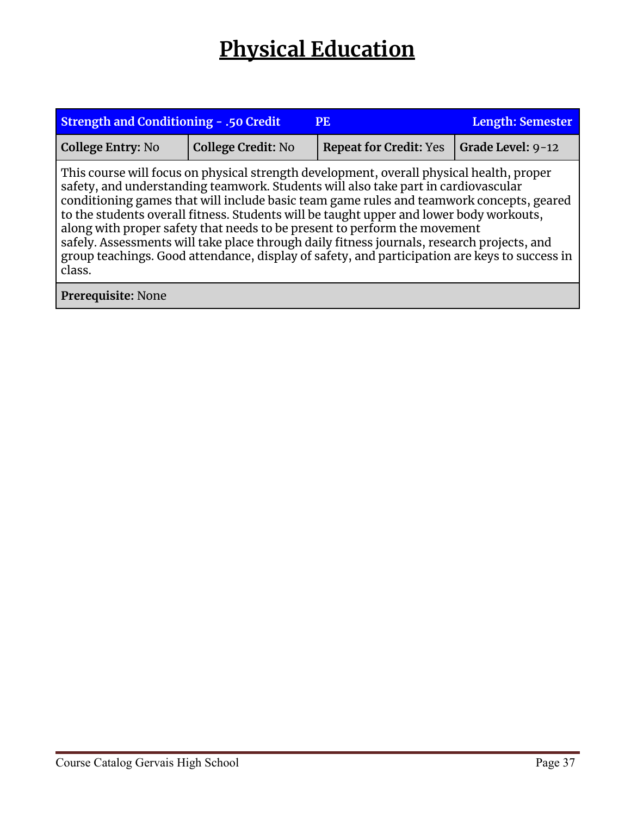## **Physical Education**

<span id="page-36-0"></span>

| <b>Strength and Conditioning - .50 Credit</b>                                                                                                                                                                                                                                                                                                                                                                                                                                                                                                                                                                                                               | <b>Length: Semester</b>   |                               |                   |  |
|-------------------------------------------------------------------------------------------------------------------------------------------------------------------------------------------------------------------------------------------------------------------------------------------------------------------------------------------------------------------------------------------------------------------------------------------------------------------------------------------------------------------------------------------------------------------------------------------------------------------------------------------------------------|---------------------------|-------------------------------|-------------------|--|
| <b>College Entry: No</b>                                                                                                                                                                                                                                                                                                                                                                                                                                                                                                                                                                                                                                    | <b>College Credit: No</b> | <b>Repeat for Credit: Yes</b> | Grade Level: 9-12 |  |
| This course will focus on physical strength development, overall physical health, proper<br>safety, and understanding teamwork. Students will also take part in cardiovascular<br>conditioning games that will include basic team game rules and teamwork concepts, geared<br>to the students overall fitness. Students will be taught upper and lower body workouts,<br>along with proper safety that needs to be present to perform the movement<br>safely. Assessments will take place through daily fitness journals, research projects, and<br>group teachings. Good attendance, display of safety, and participation are keys to success in<br>class. |                           |                               |                   |  |
| Prerequisite: None                                                                                                                                                                                                                                                                                                                                                                                                                                                                                                                                                                                                                                          |                           |                               |                   |  |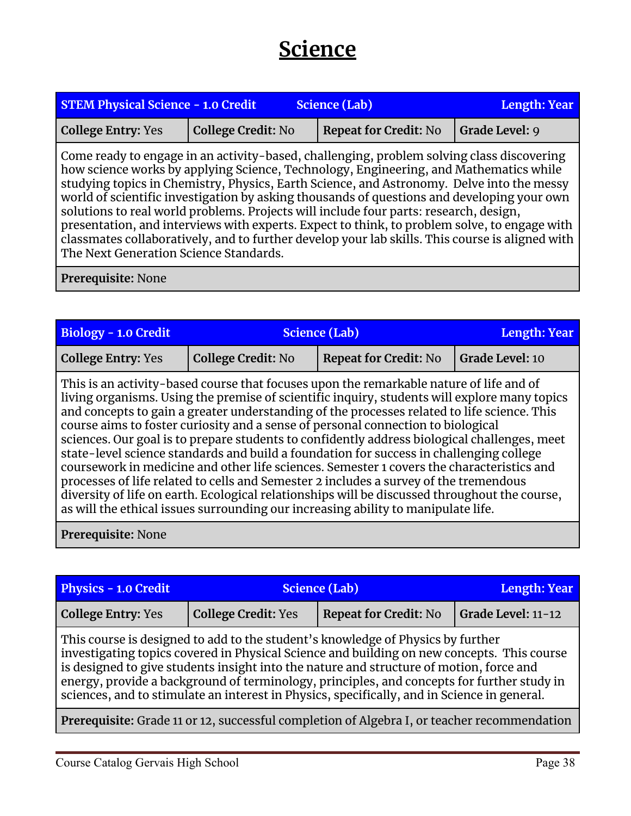## **Science**

<span id="page-37-0"></span>

| <b>STEM Physical Science - 1.0 Credit</b><br><b>Science (Lab)</b>                                                                                                                                                                                                                                                                                                                                                                                                                                                                                                                                                                                                                                                   |                           |                              | <b>Length: Year</b> |
|---------------------------------------------------------------------------------------------------------------------------------------------------------------------------------------------------------------------------------------------------------------------------------------------------------------------------------------------------------------------------------------------------------------------------------------------------------------------------------------------------------------------------------------------------------------------------------------------------------------------------------------------------------------------------------------------------------------------|---------------------------|------------------------------|---------------------|
| <b>College Entry: Yes</b>                                                                                                                                                                                                                                                                                                                                                                                                                                                                                                                                                                                                                                                                                           | <b>College Credit: No</b> | <b>Repeat for Credit: No</b> | Grade Level: 9      |
| Come ready to engage in an activity-based, challenging, problem solving class discovering<br>how science works by applying Science, Technology, Engineering, and Mathematics while<br>studying topics in Chemistry, Physics, Earth Science, and Astronomy. Delve into the messy<br>world of scientific investigation by asking thousands of questions and developing your own<br>solutions to real world problems. Projects will include four parts: research, design,<br>presentation, and interviews with experts. Expect to think, to problem solve, to engage with<br>classmates collaboratively, and to further develop your lab skills. This course is aligned with<br>The Next Generation Science Standards. |                           |                              |                     |

| <b>Biology - 1.0 Credit</b>                                                                                                                                                                                                                                                                                                                                                                                                                                                                                                                                                                                                                                                                                                                                                                                                                                                                                                                       | <b>Science (Lab)</b>      |                              | <b>Length: Year</b> |  |
|---------------------------------------------------------------------------------------------------------------------------------------------------------------------------------------------------------------------------------------------------------------------------------------------------------------------------------------------------------------------------------------------------------------------------------------------------------------------------------------------------------------------------------------------------------------------------------------------------------------------------------------------------------------------------------------------------------------------------------------------------------------------------------------------------------------------------------------------------------------------------------------------------------------------------------------------------|---------------------------|------------------------------|---------------------|--|
| <b>College Entry: Yes</b>                                                                                                                                                                                                                                                                                                                                                                                                                                                                                                                                                                                                                                                                                                                                                                                                                                                                                                                         | <b>College Credit: No</b> | <b>Repeat for Credit: No</b> | Grade Level: 10     |  |
| This is an activity-based course that focuses upon the remarkable nature of life and of<br>living organisms. Using the premise of scientific inquiry, students will explore many topics<br>and concepts to gain a greater understanding of the processes related to life science. This<br>course aims to foster curiosity and a sense of personal connection to biological<br>sciences. Our goal is to prepare students to confidently address biological challenges, meet<br>state-level science standards and build a foundation for success in challenging college<br>coursework in medicine and other life sciences. Semester 1 covers the characteristics and<br>processes of life related to cells and Semester 2 includes a survey of the tremendous<br>diversity of life on earth. Ecological relationships will be discussed throughout the course,<br>as will the ethical issues surrounding our increasing ability to manipulate life. |                           |                              |                     |  |
| Prerequisite: None                                                                                                                                                                                                                                                                                                                                                                                                                                                                                                                                                                                                                                                                                                                                                                                                                                                                                                                                |                           |                              |                     |  |

| <b>Physics - 1.0 Credit</b>                                                                                                                                                                                                                                                                                                                                                                                                                                           | <b>Science (Lab)</b>       |                              | <b>Length: Year</b> |  |
|-----------------------------------------------------------------------------------------------------------------------------------------------------------------------------------------------------------------------------------------------------------------------------------------------------------------------------------------------------------------------------------------------------------------------------------------------------------------------|----------------------------|------------------------------|---------------------|--|
| <b>College Entry: Yes</b>                                                                                                                                                                                                                                                                                                                                                                                                                                             | <b>College Credit: Yes</b> | <b>Repeat for Credit: No</b> | Grade Level: 11-12  |  |
| This course is designed to add to the student's knowledge of Physics by further<br>investigating topics covered in Physical Science and building on new concepts. This course<br>is designed to give students insight into the nature and structure of motion, force and<br>energy, provide a background of terminology, principles, and concepts for further study in<br>sciences, and to stimulate an interest in Physics, specifically, and in Science in general. |                            |                              |                     |  |
| Prerequisite: Grade 11 or 12, successful completion of Algebra I, or teacher recommendation                                                                                                                                                                                                                                                                                                                                                                           |                            |                              |                     |  |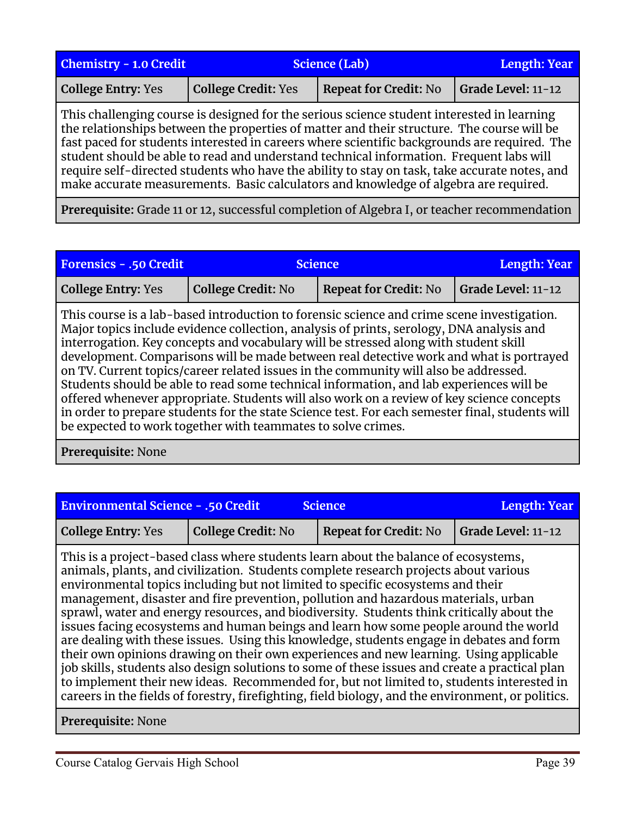| <b>Chemistry - 1.0 Credit</b>                                                                                                                                                                                                                                                                                                                                                                                                                                                                                                                                                | <b>Science (Lab)</b>       |                                                                                                          | <b>Length: Year</b> |
|------------------------------------------------------------------------------------------------------------------------------------------------------------------------------------------------------------------------------------------------------------------------------------------------------------------------------------------------------------------------------------------------------------------------------------------------------------------------------------------------------------------------------------------------------------------------------|----------------------------|----------------------------------------------------------------------------------------------------------|---------------------|
| <b>College Entry: Yes</b>                                                                                                                                                                                                                                                                                                                                                                                                                                                                                                                                                    | <b>College Credit: Yes</b> | <b>Repeat for Credit: No</b>                                                                             | Grade Level: 11-12  |
| This challenging course is designed for the serious science student interested in learning<br>the relationships between the properties of matter and their structure. The course will be<br>fast paced for students interested in careers where scientific backgrounds are required. The<br>student should be able to read and understand technical information. Frequent labs will<br>require self-directed students who have the ability to stay on task, take accurate notes, and<br>make accurate measurements. Basic calculators and knowledge of algebra are required. |                            |                                                                                                          |                     |
|                                                                                                                                                                                                                                                                                                                                                                                                                                                                                                                                                                              | $\sim$ 1 $\sim$            | $\mathbf{1}$ . The contract $\mathbf{1}$ is the contract of $\mathbf{1}$ is the contract of $\mathbf{1}$ |                     |

**Prerequisite:** Grade 11 or 12, successful completion of Algebra I, or teacher recommendation

| <b>Forensics - .50 Credit</b>                                                                                                                                                                                                                                                                                                                                                                                                                                                                                                                                                                                                                                                                                                                                                                                                | <b>Science</b>            |                              | Length: Year       |
|------------------------------------------------------------------------------------------------------------------------------------------------------------------------------------------------------------------------------------------------------------------------------------------------------------------------------------------------------------------------------------------------------------------------------------------------------------------------------------------------------------------------------------------------------------------------------------------------------------------------------------------------------------------------------------------------------------------------------------------------------------------------------------------------------------------------------|---------------------------|------------------------------|--------------------|
| <b>College Entry: Yes</b>                                                                                                                                                                                                                                                                                                                                                                                                                                                                                                                                                                                                                                                                                                                                                                                                    | <b>College Credit: No</b> | <b>Repeat for Credit: No</b> | Grade Level: 11-12 |
| This course is a lab-based introduction to forensic science and crime scene investigation.<br>Major topics include evidence collection, analysis of prints, serology, DNA analysis and<br>interrogation. Key concepts and vocabulary will be stressed along with student skill<br>development. Comparisons will be made between real detective work and what is portrayed<br>on TV. Current topics/career related issues in the community will also be addressed.<br>Students should be able to read some technical information, and lab experiences will be<br>offered whenever appropriate. Students will also work on a review of key science concepts<br>in order to prepare students for the state Science test. For each semester final, students will<br>be expected to work together with teammates to solve crimes. |                           |                              |                    |

**Prerequisite:** None

| <b>Environmental Science - .50 Credit</b> |                    | <b>Science</b>               | Length: Year       |
|-------------------------------------------|--------------------|------------------------------|--------------------|
| <b>College Entry: Yes</b>                 | College Credit: No | <b>Repeat for Credit: No</b> | Grade Level: 11-12 |

This is a project-based class where students learn about the balance of ecosystems, animals, plants, and civilization. Students complete research projects about various environmental topics including but not limited to specific ecosystems and their management, disaster and fire prevention, pollution and hazardous materials, urban sprawl, water and energy resources, and biodiversity. Students think critically about the issues facing ecosystems and human beings and learn how some people around the world are dealing with these issues. Using this knowledge, students engage in debates and form their own opinions drawing on their own experiences and new learning. Using applicable job skills, students also design solutions to some of these issues and create a practical plan to implement their new ideas. Recommended for, but not limited to, students interested in careers in the fields of forestry, firefighting, field biology, and the environment, or politics.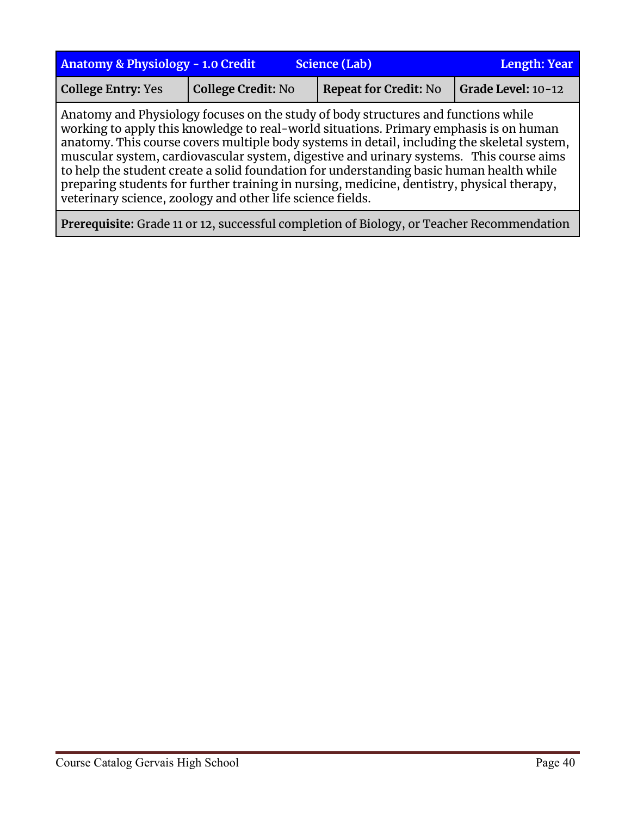| <b>Anatomy &amp; Physiology - 1.0 Credit</b> | <b>Length: Year</b>                                        |                                                                                                                                                                                                                                                                                                                                                                                                                                                                                                                                                                  |                    |
|----------------------------------------------|------------------------------------------------------------|------------------------------------------------------------------------------------------------------------------------------------------------------------------------------------------------------------------------------------------------------------------------------------------------------------------------------------------------------------------------------------------------------------------------------------------------------------------------------------------------------------------------------------------------------------------|--------------------|
| <b>College Entry: Yes</b>                    | <b>College Credit: No</b>                                  | <b>Repeat for Credit: No</b>                                                                                                                                                                                                                                                                                                                                                                                                                                                                                                                                     | Grade Level: 10-12 |
|                                              | veterinary science, zoology and other life science fields. | Anatomy and Physiology focuses on the study of body structures and functions while<br>working to apply this knowledge to real-world situations. Primary emphasis is on human<br>anatomy. This course covers multiple body systems in detail, including the skeletal system,<br>muscular system, cardiovascular system, digestive and urinary systems. This course aims<br>to help the student create a solid foundation for understanding basic human health while<br>preparing students for further training in nursing, medicine, dentistry, physical therapy, |                    |

**Prerequisite:** Grade 11 or 12, successful completion of Biology, or Teacher Recommendation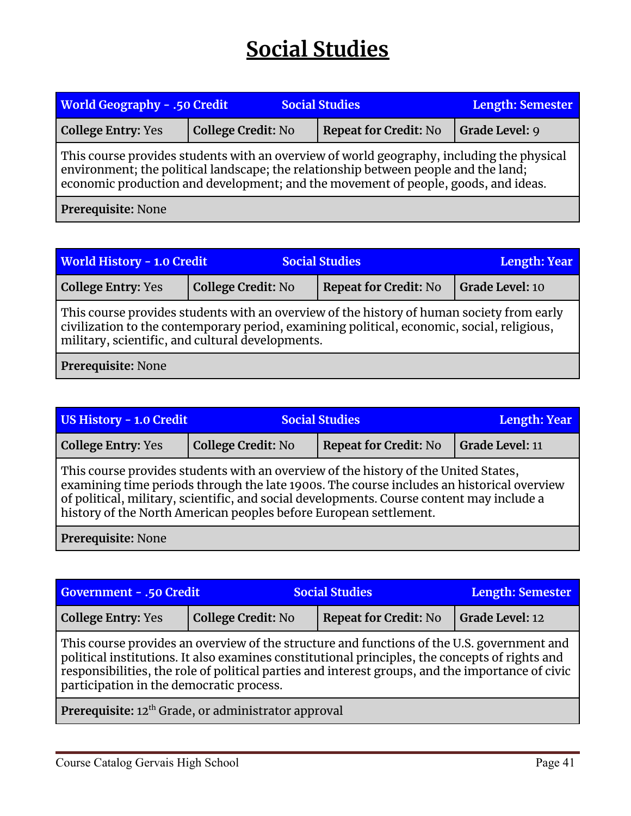## **Social Studies**

<span id="page-40-0"></span>

| <b>World Geography - .50 Credit</b><br><b>Social Studies</b>                                                                                                                                                                                                           |                           | Length: Semester             |                       |  |
|------------------------------------------------------------------------------------------------------------------------------------------------------------------------------------------------------------------------------------------------------------------------|---------------------------|------------------------------|-----------------------|--|
| <b>College Entry: Yes</b>                                                                                                                                                                                                                                              | <b>College Credit: No</b> | <b>Repeat for Credit: No</b> | <b>Grade Level: 9</b> |  |
| This course provides students with an overview of world geography, including the physical<br>environment; the political landscape; the relationship between people and the land;<br>economic production and development; and the movement of people, goods, and ideas. |                           |                              |                       |  |
| Prerequisite: None                                                                                                                                                                                                                                                     |                           |                              |                       |  |

| <b>World History - 1.0 Credit</b>                                                                                                                                                                                                           |                           | <b>Social Studies</b>        | Length: Year    |  |
|---------------------------------------------------------------------------------------------------------------------------------------------------------------------------------------------------------------------------------------------|---------------------------|------------------------------|-----------------|--|
| <b>College Entry: Yes</b>                                                                                                                                                                                                                   | <b>College Credit: No</b> | <b>Repeat for Credit: No</b> | Grade Level: 10 |  |
| This course provides students with an overview of the history of human society from early<br>civilization to the contemporary period, examining political, economic, social, religious,<br>military, scientific, and cultural developments. |                           |                              |                 |  |
| Prerequisite: None                                                                                                                                                                                                                          |                           |                              |                 |  |

| <b>US History - 1.0 Credit</b>                                                                                                                                                                                                                                                                                                                     | <b>Social Studies</b>     |                              | Length: Year    |  |
|----------------------------------------------------------------------------------------------------------------------------------------------------------------------------------------------------------------------------------------------------------------------------------------------------------------------------------------------------|---------------------------|------------------------------|-----------------|--|
| <b>College Entry: Yes</b>                                                                                                                                                                                                                                                                                                                          | <b>College Credit: No</b> | <b>Repeat for Credit: No</b> | Grade Level: 11 |  |
| This course provides students with an overview of the history of the United States,<br>examining time periods through the late 1900s. The course includes an historical overview<br>of political, military, scientific, and social developments. Course content may include a<br>history of the North American peoples before European settlement. |                           |                              |                 |  |
| Prerequisite: None                                                                                                                                                                                                                                                                                                                                 |                           |                              |                 |  |

| Government - .50 Credit                                                                                                                                                                                                                                                                                                                      |                           | <b>Social Studies</b>        | <b>Length: Semester</b> |  |
|----------------------------------------------------------------------------------------------------------------------------------------------------------------------------------------------------------------------------------------------------------------------------------------------------------------------------------------------|---------------------------|------------------------------|-------------------------|--|
| <b>College Entry: Yes</b>                                                                                                                                                                                                                                                                                                                    | <b>College Credit: No</b> | <b>Repeat for Credit: No</b> | <b>Grade Level: 12</b>  |  |
| This course provides an overview of the structure and functions of the U.S. government and<br>political institutions. It also examines constitutional principles, the concepts of rights and<br>responsibilities, the role of political parties and interest groups, and the importance of civic<br>participation in the democratic process. |                           |                              |                         |  |
| Prerequisite: 12 <sup>th</sup> Grade, or administrator approval                                                                                                                                                                                                                                                                              |                           |                              |                         |  |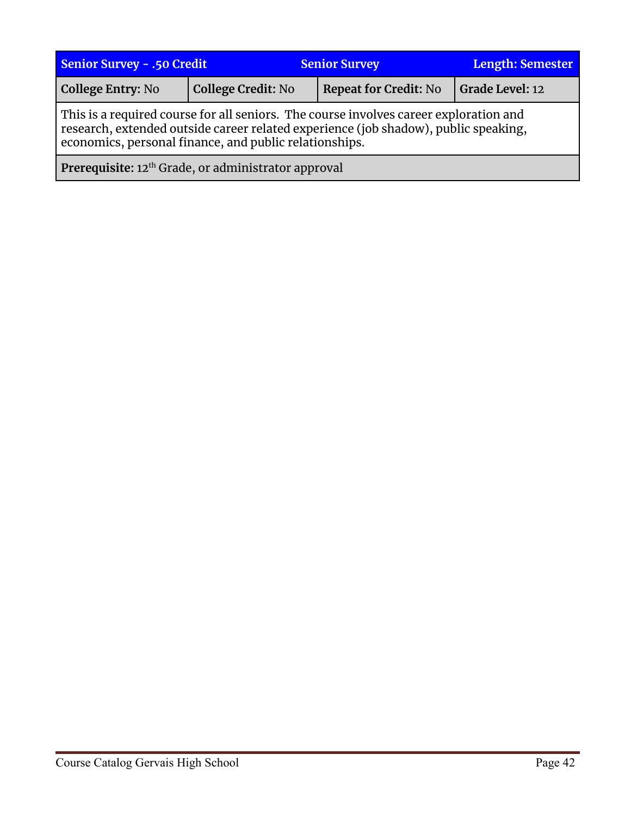| <b>Senior Survey - .50 Credit</b>                                                                                                                                                                                                      |                           | <b>Senior Survey</b>         | <b>Length: Semester</b> |  |
|----------------------------------------------------------------------------------------------------------------------------------------------------------------------------------------------------------------------------------------|---------------------------|------------------------------|-------------------------|--|
| College Entry: No                                                                                                                                                                                                                      | <b>College Credit: No</b> | <b>Repeat for Credit: No</b> | Grade Level: 12         |  |
| This is a required course for all seniors. The course involves career exploration and<br>research, extended outside career related experience (job shadow), public speaking,<br>economics, personal finance, and public relationships. |                           |                              |                         |  |
| Prerequisite: 12 <sup>th</sup> Grade, or administrator approval                                                                                                                                                                        |                           |                              |                         |  |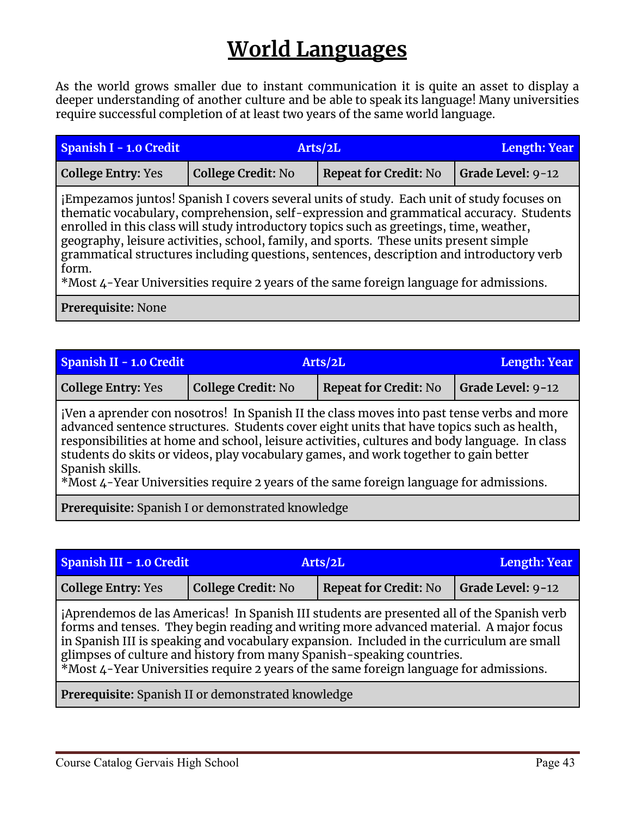## **World Languages**

<span id="page-42-0"></span>As the world grows smaller due to instant communication it is quite an asset to display a deeper understanding of another culture and be able to speak its language! Many universities require successful completion of at least two years of the same world language.

| Spanish I - 1.0 Credit    | Arts/2L                   |                                                                                                                                                                                                                                                                                                                                                                                                                                                                                                                                                               | Length: Year      |  |
|---------------------------|---------------------------|---------------------------------------------------------------------------------------------------------------------------------------------------------------------------------------------------------------------------------------------------------------------------------------------------------------------------------------------------------------------------------------------------------------------------------------------------------------------------------------------------------------------------------------------------------------|-------------------|--|
| <b>College Entry: Yes</b> | <b>College Credit: No</b> | <b>Repeat for Credit: No</b>                                                                                                                                                                                                                                                                                                                                                                                                                                                                                                                                  | Grade Level: 9-12 |  |
| form.                     |                           | jEmpezamos juntos! Spanish I covers several units of study. Each unit of study focuses on<br>thematic vocabulary, comprehension, self-expression and grammatical accuracy. Students<br>enrolled in this class will study introductory topics such as greetings, time, weather,<br>geography, leisure activities, school, family, and sports. These units present simple<br>grammatical structures including questions, sentences, description and introductory verb<br>*Most 4-Year Universities require 2 years of the same foreign language for admissions. |                   |  |
| Prerequisite: None        |                           |                                                                                                                                                                                                                                                                                                                                                                                                                                                                                                                                                               |                   |  |

| Spanish II - 1.0 Credit                                                                    | Arts/2L            |                              | Length: Year              |
|--------------------------------------------------------------------------------------------|--------------------|------------------------------|---------------------------|
| <b>College Entry: Yes</b>                                                                  | College Credit: No | <b>Repeat for Credit: No</b> | $\vert$ Grade Level: 9-12 |
| iVen a aprender con nosotros! In Spanish II the class moves into past tense verbs and more |                    |                              |                           |

Spanish II the class moves into past tense verbs an advanced sentence structures. Students cover eight units that have topics such as health, responsibilities at home and school, leisure activities, cultures and body language. In class students do skits or videos, play vocabulary games, and work together to gain better Spanish skills.

\*Most 4-Year Universities require 2 years of the same foreign language for admissions.

**Prerequisite:** Spanish I or demonstrated knowledge

| Spanish III - 1.0 Credit                                                                                                                                                                                                                                                                                                                                                                                                                             |                           | Arts/2L                      | <b>Length: Year</b> |  |
|------------------------------------------------------------------------------------------------------------------------------------------------------------------------------------------------------------------------------------------------------------------------------------------------------------------------------------------------------------------------------------------------------------------------------------------------------|---------------------------|------------------------------|---------------------|--|
| <b>College Entry: Yes</b>                                                                                                                                                                                                                                                                                                                                                                                                                            | <b>College Credit: No</b> | <b>Repeat for Credit: No</b> | Grade Level: 9-12   |  |
| jAprendemos de las Americas! In Spanish III students are presented all of the Spanish verb<br>forms and tenses. They begin reading and writing more advanced material. A major focus<br>in Spanish III is speaking and vocabulary expansion. Included in the curriculum are small<br>glimpses of culture and history from many Spanish-speaking countries.<br>*Most 4-Year Universities require 2 years of the same foreign language for admissions. |                           |                              |                     |  |
| Prerequisite: Spanish II or demonstrated knowledge                                                                                                                                                                                                                                                                                                                                                                                                   |                           |                              |                     |  |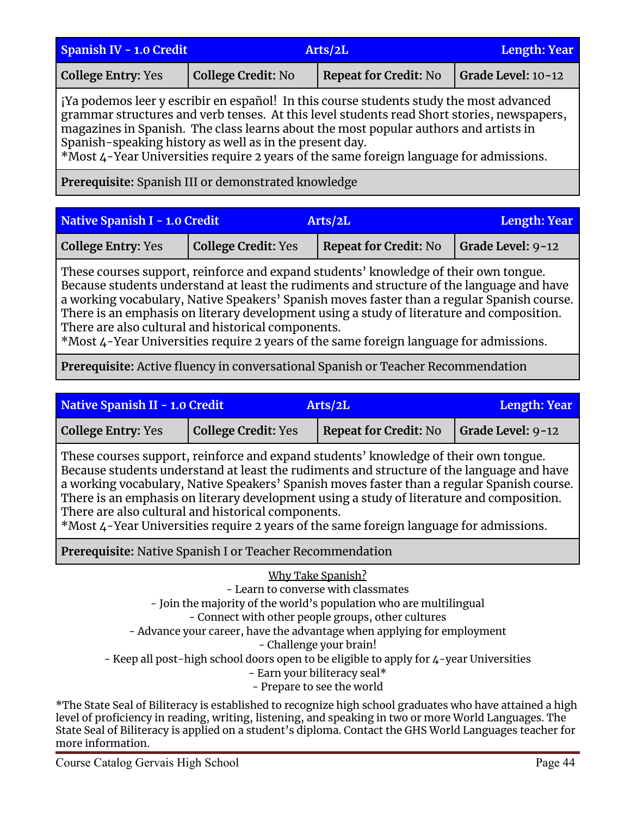| Spanish IV - 1.0 Credit   | Arts/2L            |                       | Length: Year       |
|---------------------------|--------------------|-----------------------|--------------------|
| <b>College Entry: Yes</b> | College Credit: No | Repeat for Credit: No | Grade Level: 10-12 |

¡Ya podemos leer y escribir en español! In this course students study the most advanced grammar structures and verb tenses. At this level students read Short stories, newspapers, magazines in Spanish. The class learns about the most popular authors and artists in Spanish-speaking history as well as in the present day.

\*Most 4-Year Universities require 2 years of the same foreign language for admissions.

**Prerequisite:** Spanish III or demonstrated knowledge

| Native Spanish I - 1.0 Credit |                            | <b>Arts/2L</b>               | Length: Year              |
|-------------------------------|----------------------------|------------------------------|---------------------------|
| <b>College Entry: Yes</b>     | <b>College Credit: Yes</b> | <b>Repeat for Credit: No</b> | $\vert$ Grade Level: 9-12 |

These courses support, reinforce and expand students' knowledge of their own tongue. Because students understand at least the rudiments and structure of the language and have a working vocabulary, Native Speakers' Spanish moves faster than a regular Spanish course. There is an emphasis on literary development using a study of literature and composition. There are also cultural and historical components.

\*Most 4-Year Universities require 2 years of the same foreign language for admissions.

**Prerequisite:** Active fluency in conversational Spanish or Teacher Recommendation

| <b>Native Spanish II - 1.0 Credit</b><br>Arts/2L                                                                                                                                                                                                                                                                                                                                                                                                                                                                             |                                                                 |                              | Length: Year      |  |
|------------------------------------------------------------------------------------------------------------------------------------------------------------------------------------------------------------------------------------------------------------------------------------------------------------------------------------------------------------------------------------------------------------------------------------------------------------------------------------------------------------------------------|-----------------------------------------------------------------|------------------------------|-------------------|--|
| <b>College Entry: Yes</b>                                                                                                                                                                                                                                                                                                                                                                                                                                                                                                    | <b>College Credit: Yes</b>                                      | <b>Repeat for Credit: No</b> | Grade Level: 9-12 |  |
| These courses support, reinforce and expand students' knowledge of their own tongue.<br>Because students understand at least the rudiments and structure of the language and have<br>a working vocabulary, Native Speakers' Spanish moves faster than a regular Spanish course.<br>There is an emphasis on literary development using a study of literature and composition.<br>There are also cultural and historical components.<br>*Most 4-Year Universities require 2 years of the same foreign language for admissions. |                                                                 |                              |                   |  |
|                                                                                                                                                                                                                                                                                                                                                                                                                                                                                                                              | <b>Prerequisite:</b> Native Spanish I or Teacher Recommendation |                              |                   |  |
| Why Take Spanish?<br>- Learn to converse with classmates<br>- Join the majority of the world's population who are multilingual<br>- Connect with other people groups, other cultures<br>- Advance your career, have the advantage when applying for employment<br>- Challenge your brain!                                                                                                                                                                                                                                    |                                                                 |                              |                   |  |

- Keep all post-high school doors open to be eligible to apply for 4-year Universities - Earn your biliteracy seal\* - Prepare to see the world

\*The State Seal of Biliteracy is established to recognize high school graduates who have attained a high level of proficiency in reading, writing, listening, and speaking in two or more World Languages. The State Seal of Biliteracy is applied on a student's diploma. Contact the GHS World Languages teacher for more information.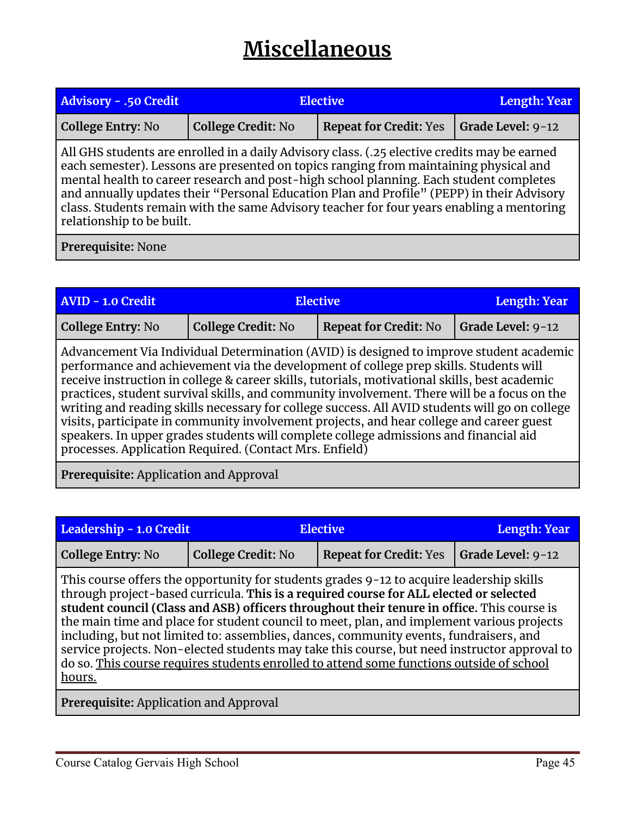## **Miscellaneous**

<span id="page-44-0"></span>

| <b>Advisory - .50 Credit</b>                                                                                                                                                                                                                                                                                                                                                                                                                                                                           | <b>Elective</b>           |                               | <b>Length: Year</b> |  |
|--------------------------------------------------------------------------------------------------------------------------------------------------------------------------------------------------------------------------------------------------------------------------------------------------------------------------------------------------------------------------------------------------------------------------------------------------------------------------------------------------------|---------------------------|-------------------------------|---------------------|--|
| <b>College Entry: No</b>                                                                                                                                                                                                                                                                                                                                                                                                                                                                               | <b>College Credit: No</b> | <b>Repeat for Credit: Yes</b> | Grade Level: 9-12   |  |
| All GHS students are enrolled in a daily Advisory class. (.25 elective credits may be earned<br>each semester). Lessons are presented on topics ranging from maintaining physical and<br>mental health to career research and post-high school planning. Each student completes<br>and annually updates their "Personal Education Plan and Profile" (PEPP) in their Advisory<br>class. Students remain with the same Advisory teacher for four years enabling a mentoring<br>relationship to be built. |                           |                               |                     |  |
| Prerequisite: None                                                                                                                                                                                                                                                                                                                                                                                                                                                                                     |                           |                               |                     |  |

| <b>AVID - 1.0 Credit</b>                                                                                                                                                                                                                                                                                                                                                                                                                                                                                                                                                                                                                                                                                                           | Elective                  |                              | <b>Length: Year</b> |
|------------------------------------------------------------------------------------------------------------------------------------------------------------------------------------------------------------------------------------------------------------------------------------------------------------------------------------------------------------------------------------------------------------------------------------------------------------------------------------------------------------------------------------------------------------------------------------------------------------------------------------------------------------------------------------------------------------------------------------|---------------------------|------------------------------|---------------------|
| <b>College Entry: No</b>                                                                                                                                                                                                                                                                                                                                                                                                                                                                                                                                                                                                                                                                                                           | <b>College Credit: No</b> | <b>Repeat for Credit: No</b> | Grade Level: 9-12   |
| Advancement Via Individual Determination (AVID) is designed to improve student academic<br>performance and achievement via the development of college prep skills. Students will<br>receive instruction in college & career skills, tutorials, motivational skills, best academic<br>practices, student survival skills, and community involvement. There will be a focus on the<br>writing and reading skills necessary for college success. All AVID students will go on college<br>visits, participate in community involvement projects, and hear college and career guest<br>speakers. In upper grades students will complete college admissions and financial aid<br>processes. Application Required. (Contact Mrs. Enfield) |                           |                              |                     |

**Prerequisite:** Application and Approval

| Leadership - 1.0 Credit |                           | <b>Elective</b>                                                                                                                                                                                                                                                                                                                                                                                                                                                                                                                                                                                                                                                    | <b>Length: Year</b> |
|-------------------------|---------------------------|--------------------------------------------------------------------------------------------------------------------------------------------------------------------------------------------------------------------------------------------------------------------------------------------------------------------------------------------------------------------------------------------------------------------------------------------------------------------------------------------------------------------------------------------------------------------------------------------------------------------------------------------------------------------|---------------------|
| College Entry: No       | <b>College Credit: No</b> | <b>Repeat for Credit: Yes</b>                                                                                                                                                                                                                                                                                                                                                                                                                                                                                                                                                                                                                                      | Grade Level: 9-12   |
| hours.                  |                           | This course offers the opportunity for students grades 9-12 to acquire leadership skills<br>through project-based curricula. This is a required course for ALL elected or selected<br>student council (Class and ASB) officers throughout their tenure in office. This course is<br>the main time and place for student council to meet, plan, and implement various projects<br>including, but not limited to: assemblies, dances, community events, fundraisers, and<br>service projects. Non-elected students may take this course, but need instructor approval to<br>do so. This course requires students enrolled to attend some functions outside of school |                     |

**Prerequisite:** Application and Approval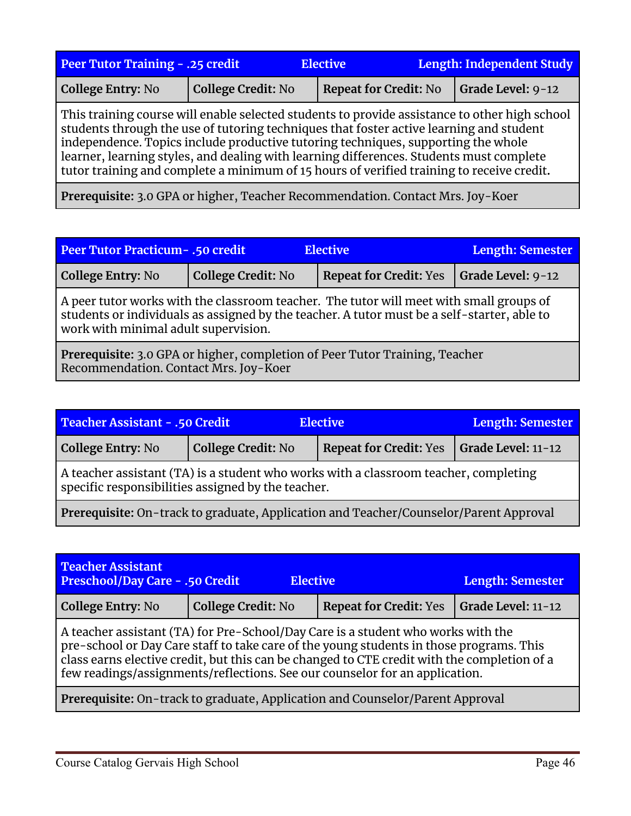| <b>Peer Tutor Training - .25 credit</b>                                                                                                                                                                                                                                                                                                                                                                                                                               |                           | <b>Elective</b>              | Length: Independent Study |  |
|-----------------------------------------------------------------------------------------------------------------------------------------------------------------------------------------------------------------------------------------------------------------------------------------------------------------------------------------------------------------------------------------------------------------------------------------------------------------------|---------------------------|------------------------------|---------------------------|--|
| <b>College Entry: No</b>                                                                                                                                                                                                                                                                                                                                                                                                                                              | <b>College Credit: No</b> | <b>Repeat for Credit: No</b> | Grade Level: 9-12         |  |
| This training course will enable selected students to provide assistance to other high school<br>students through the use of tutoring techniques that foster active learning and student<br>independence. Topics include productive tutoring techniques, supporting the whole<br>learner, learning styles, and dealing with learning differences. Students must complete<br>tutor training and complete a minimum of 15 hours of verified training to receive credit. |                           |                              |                           |  |
| $\mathbf{r}$ $\mathbf{r}$ $\mathbf{r}$ $\mathbf{r}$ $\mathbf{r}$ $\mathbf{r}$ $\mathbf{r}$ $\mathbf{r}$ $\mathbf{r}$ $\mathbf{r}$ $\mathbf{r}$ $\mathbf{r}$ $\mathbf{r}$ $\mathbf{r}$ $\mathbf{r}$ $\mathbf{r}$ $\mathbf{r}$ $\mathbf{r}$ $\mathbf{r}$ $\mathbf{r}$ $\mathbf{r}$ $\mathbf{r}$ $\mathbf{r}$ $\mathbf{r}$ $\mathbf{$                                                                                                                                    |                           |                              |                           |  |

**Prerequisite:** 3.0 GPA or higher, Teacher Recommendation. Contact Mrs. Joy-Koer

| <b>Peer Tutor Practicum - .50 credit</b><br><b>Elective</b>                                                                                                                                                                    |                           |                               | Length: Semester  |
|--------------------------------------------------------------------------------------------------------------------------------------------------------------------------------------------------------------------------------|---------------------------|-------------------------------|-------------------|
| <b>College Entry: No</b>                                                                                                                                                                                                       | <b>College Credit: No</b> | <b>Repeat for Credit: Yes</b> | Grade Level: 9-12 |
| A peer tutor works with the classroom teacher. The tutor will meet with small groups of<br>students or individuals as assigned by the teacher. A tutor must be a self-starter, able to<br>work with minimal adult supervision. |                           |                               |                   |
| Prerequisite: 3.0 GPA or higher, completion of Peer Tutor Training, Teacher<br>Recommendation. Contact Mrs. Joy-Koer                                                                                                           |                           |                               |                   |

| Teacher Assistant - .50 Credit<br><b>Elective</b>                                                                                          |                           |                               | Length: Semester   |
|--------------------------------------------------------------------------------------------------------------------------------------------|---------------------------|-------------------------------|--------------------|
| College Entry: No                                                                                                                          | <b>College Credit: No</b> | <b>Repeat for Credit: Yes</b> | Grade Level: 11-12 |
| A teacher assistant (TA) is a student who works with a classroom teacher, completing<br>specific responsibilities assigned by the teacher. |                           |                               |                    |
| Prerequisite: On-track to graduate, Application and Teacher/Counselor/Parent Approval                                                      |                           |                               |                    |

| <b>Teacher Assistant</b><br>Preschool/Day Care - .50 Credit<br><b>Elective</b><br><b>Length: Semester</b>                                                                                                                                                                                                                                                 |                           |                               |                    |
|-----------------------------------------------------------------------------------------------------------------------------------------------------------------------------------------------------------------------------------------------------------------------------------------------------------------------------------------------------------|---------------------------|-------------------------------|--------------------|
| College Entry: No                                                                                                                                                                                                                                                                                                                                         | <b>College Credit: No</b> | <b>Repeat for Credit: Yes</b> | Grade Level: 11-12 |
| A teacher assistant (TA) for Pre-School/Day Care is a student who works with the<br>pre-school or Day Care staff to take care of the young students in those programs. This<br>class earns elective credit, but this can be changed to CTE credit with the completion of a<br>few readings/assignments/reflections. See our counselor for an application. |                           |                               |                    |
| Prerequisite: On-track to graduate, Application and Counselor/Parent Approval                                                                                                                                                                                                                                                                             |                           |                               |                    |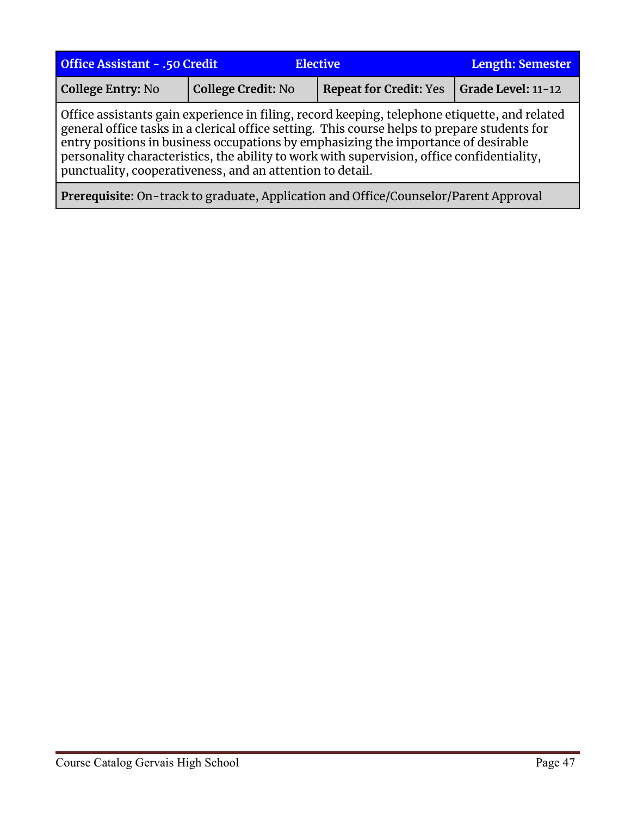| <b>Office Assistant - .50 Credit</b><br><b>Elective</b>                                                                                                                                                                                                                                                                                                                                                                                        |                           | Length: Semester              |                    |
|------------------------------------------------------------------------------------------------------------------------------------------------------------------------------------------------------------------------------------------------------------------------------------------------------------------------------------------------------------------------------------------------------------------------------------------------|---------------------------|-------------------------------|--------------------|
| College Entry: No                                                                                                                                                                                                                                                                                                                                                                                                                              | <b>College Credit: No</b> | <b>Repeat for Credit: Yes</b> | Grade Level: 11-12 |
| Office assistants gain experience in filing, record keeping, telephone etiquette, and related<br>general office tasks in a clerical office setting. This course helps to prepare students for<br>entry positions in business occupations by emphasizing the importance of desirable<br>personality characteristics, the ability to work with supervision, office confidentiality,<br>punctuality, cooperativeness, and an attention to detail. |                           |                               |                    |
| Prerequisite: On-track to graduate, Application and Office/Counselor/Parent Approval                                                                                                                                                                                                                                                                                                                                                           |                           |                               |                    |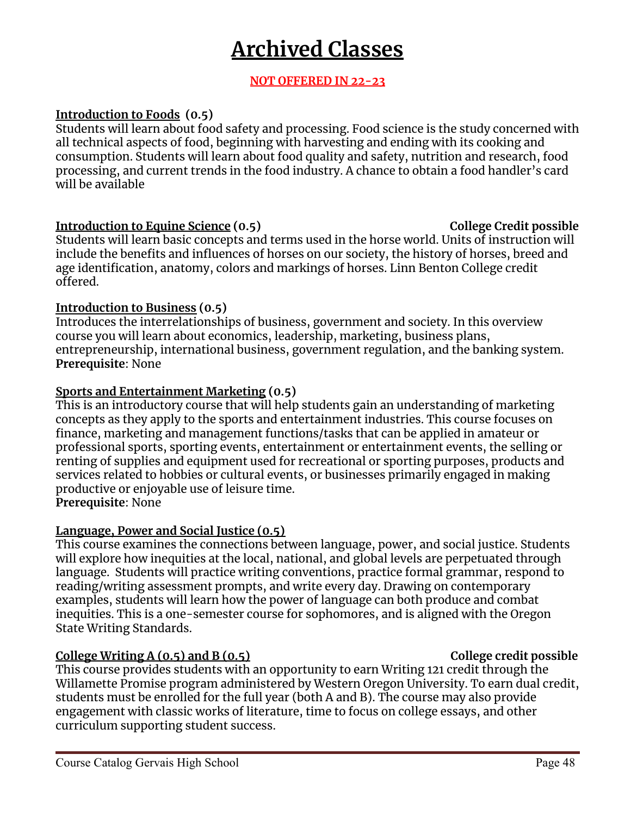## **Archived Classes**

## **NOT OFFERED IN 22-23**

## <span id="page-47-0"></span>**Introduction to Foods (0.5)**

Students will learn about food safety and processing. Food science is the study concerned with all technical aspects of food, beginning with harvesting and ending with its cooking and consumption. Students will learn about food quality and safety, nutrition and research, food processing, and current trends in the food industry. A chance to obtain a food handler's card will be available

## **Introduction to Equine Science (0.5) College Credit possible**

Students will learn basic concepts and terms used in the horse world. Units of instruction will include the benefits and influences of horses on our society, the history of horses, breed and age identification, anatomy, colors and markings of horses. Linn Benton College credit offered.

## **Introduction to Business (0.5)**

Introduces the interrelationships of business, government and society. In this overview course you will learn about economics, leadership, marketing, business plans, entrepreneurship, international business, government regulation, and the banking system. **Prerequisite**: None

## **Sports and Entertainment Marketing (0.5)**

This is an introductory course that will help students gain an understanding of marketing concepts as they apply to the sports and entertainment industries. This course focuses on finance, marketing and management functions/tasks that can be applied in amateur or professional sports, sporting events, entertainment or entertainment events, the selling or renting of supplies and equipment used for recreational or sporting purposes, products and services related to hobbies or cultural events, or businesses primarily engaged in making productive or enjoyable use of leisure time. **Prerequisite**: None

## **Language, Power and Social Justice (0.5)**

This course examines the connections between language, power, and social justice. Students will explore how inequities at the local, national, and global levels are perpetuated through language. Students will practice writing conventions, practice formal grammar, respond to reading/writing assessment prompts, and write every day. Drawing on contemporary examples, students will learn how the power of language can both produce and combat inequities. This is a one-semester course for sophomores, and is aligned with the Oregon State Writing Standards.

## **College Writing A (0.5) and B (0.5) College credit possible**

This course provides students with an opportunity to earn Writing 121 credit through the Willamette Promise program administered by Western Oregon University. To earn dual credit, students must be enrolled for the full year (both A and B). The course may also provide engagement with classic works of literature, time to focus on college essays, and other curriculum supporting student success.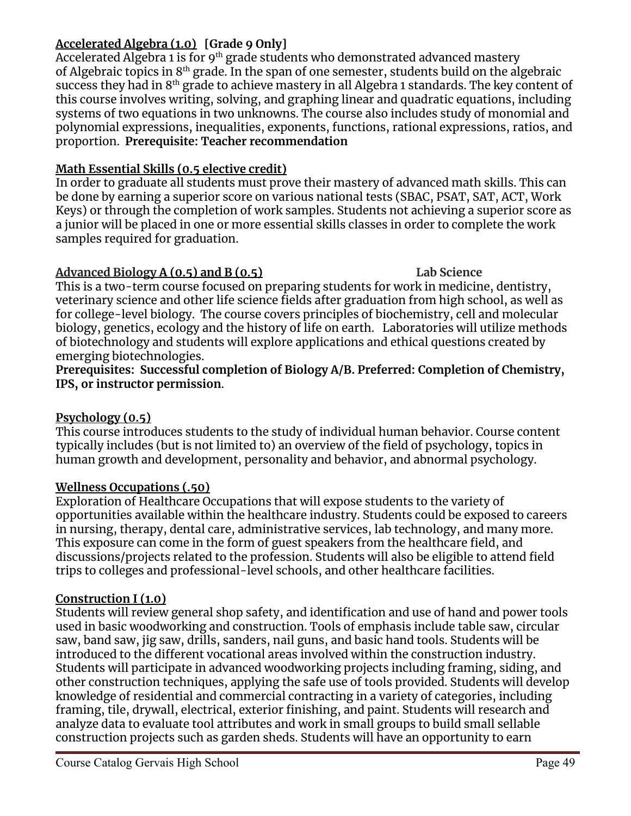## **Accelerated Algebra (1.0) [Grade 9 Only]**

Accelerated Algebra 1 is for 9<sup>th</sup> grade students who demonstrated advanced mastery of Algebraic topics in  $8<sup>th</sup>$  grade. In the span of one semester, students build on the algebraic success they had in  $8^{\rm th}$  grade to achieve mastery in all Algebra 1 standards. The key content of this course involves writing, solving, and graphing linear and quadratic equations, including systems of two equations in two unknowns. The course also includes study of monomial and polynomial expressions, inequalities, exponents, functions, rational expressions, ratios, and proportion. **Prerequisite: Teacher recommendation**

## **Math Essential Skills (0.5 elective credit)**

In order to graduate all students must prove their mastery of advanced math skills. This can be done by earning a superior score on various national tests (SBAC, PSAT, SAT, ACT, Work Keys) or through the completion of work samples. Students not achieving a superior score as a junior will be placed in one or more essential skills classes in order to complete the work samples required for graduation.

## **Advanced Biology A (0.5) and B (0.5) Lab Science**

This is a two-term course focused on preparing students for work in medicine, dentistry, veterinary science and other life science fields after graduation from high school, as well as for college-level biology. The course covers principles of biochemistry, cell and molecular biology, genetics, ecology and the history of life on earth. Laboratories will utilize methods of biotechnology and students will explore applications and ethical questions created by emerging biotechnologies.

**Prerequisites: Successful completion of Biology A/B. Preferred: Completion of Chemistry, IPS, or instructor permission**.

## **Psychology (0.5)**

This course introduces students to the study of individual human behavior. Course content typically includes (but is not limited to) an overview of the field of psychology, topics in human growth and development, personality and behavior, and abnormal psychology.

## **Wellness Occupations (.50)**

Exploration of Healthcare Occupations that will expose students to the variety of opportunities available within the healthcare industry. Students could be exposed to careers in nursing, therapy, dental care, administrative services, lab technology, and many more. This exposure can come in the form of guest speakers from the healthcare field, and discussions/projects related to the profession. Students will also be eligible to attend field trips to colleges and professional-level schools, and other healthcare facilities.

## **Construction I (1.0)**

Students will review general shop safety, and identification and use of hand and power tools used in basic woodworking and construction. Tools of emphasis include table saw, circular saw, band saw, jig saw, drills, sanders, nail guns, and basic hand tools. Students will be introduced to the different vocational areas involved within the construction industry. Students will participate in advanced woodworking projects including framing, siding, and other construction techniques, applying the safe use of tools provided. Students will develop knowledge of residential and commercial contracting in a variety of categories, including framing, tile, drywall, electrical, exterior finishing, and paint. Students will research and analyze data to evaluate tool attributes and work in small groups to build small sellable construction projects such as garden sheds. Students will have an opportunity to earn